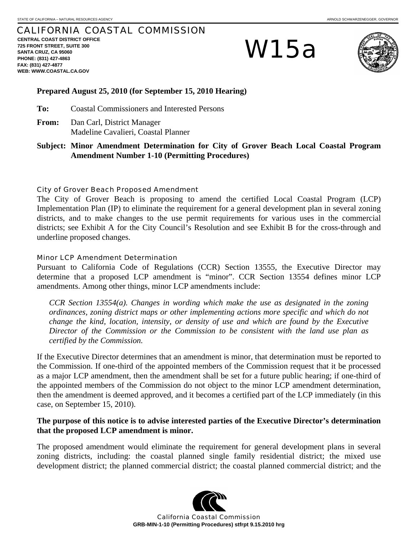# CALIFORNIA COASTAL COMMISSION

**CENTRAL COAST DISTRICT OFFICE 725 FRONT STREET, SUITE 300 SANTA CRUZ, CA 95060 PHONE: (831) 427-4863 FAX: (831) 427-4877 WEB: WWW.COASTAL.CA.GOV**

# W15a



# **Prepared August 25, 2010 (for September 15, 2010 Hearing)**

**To:** Coastal Commissioners and Interested Persons

**From:** Dan Carl, District Manager Madeline Cavalieri, Coastal Planner

**Subject: Minor Amendment Determination for City of Grover Beach Local Coastal Program Amendment Number 1-10 (Permitting Procedures)** 

# City of Grover Beach Proposed Amendment

The City of Grover Beach is proposing to amend the certified Local Coastal Program (LCP) Implementation Plan (IP) to eliminate the requirement for a general development plan in several zoning districts, and to make changes to the use permit requirements for various uses in the commercial districts; see Exhibit A for the City Council's Resolution and see Exhibit B for the cross-through and underline proposed changes.

# Minor LCP Amendment Determination

Pursuant to California Code of Regulations (CCR) Section 13555, the Executive Director may determine that a proposed LCP amendment is "minor". CCR Section 13554 defines minor LCP amendments. Among other things, minor LCP amendments include:

*CCR Section 13554(a). Changes in wording which make the use as designated in the zoning ordinances, zoning district maps or other implementing actions more specific and which do not change the kind, location, intensity, or density of use and which are found by the Executive Director of the Commission or the Commission to be consistent with the land use plan as certified by the Commission.* 

If the Executive Director determines that an amendment is minor, that determination must be reported to the Commission. If one-third of the appointed members of the Commission request that it be processed as a major LCP amendment, then the amendment shall be set for a future public hearing; if one-third of the appointed members of the Commission do not object to the minor LCP amendment determination, then the amendment is deemed approved, and it becomes a certified part of the LCP immediately (in this case, on September 15, 2010).

# **The purpose of this notice is to advise interested parties of the Executive Director's determination that the proposed LCP amendment is minor.**

The proposed amendment would eliminate the requirement for general development plans in several zoning districts, including: the coastal planned single family residential district; the mixed use development district; the planned commercial district; the coastal planned commercial district; and the



California Coastal Commission **GRB-MIN-1-10 (Permitting Procedures) stfrpt 9.15.2010 hrg**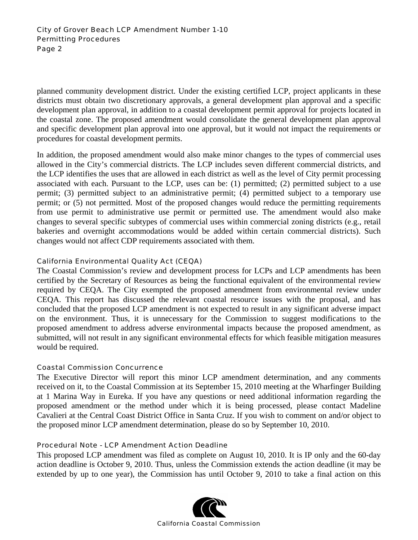planned community development district. Under the existing certified LCP, project applicants in these districts must obtain two discretionary approvals, a general development plan approval and a specific development plan approval, in addition to a coastal development permit approval for projects located in the coastal zone. The proposed amendment would consolidate the general development plan approval and specific development plan approval into one approval, but it would not impact the requirements or procedures for coastal development permits.

In addition, the proposed amendment would also make minor changes to the types of commercial uses allowed in the City's commercial districts. The LCP includes seven different commercial districts, and the LCP identifies the uses that are allowed in each district as well as the level of City permit processing associated with each. Pursuant to the LCP, uses can be: (1) permitted; (2) permitted subject to a use permit; (3) permitted subject to an administrative permit; (4) permitted subject to a temporary use permit; or (5) not permitted. Most of the proposed changes would reduce the permitting requirements from use permit to administrative use permit or permitted use. The amendment would also make changes to several specific subtypes of commercial uses within commercial zoning districts (e.g., retail bakeries and overnight accommodations would be added within certain commercial districts). Such changes would not affect CDP requirements associated with them.

# California Environmental Quality Act (CEQA)

The Coastal Commission's review and development process for LCPs and LCP amendments has been certified by the Secretary of Resources as being the functional equivalent of the environmental review required by CEQA. The City exempted the proposed amendment from environmental review under CEQA. This report has discussed the relevant coastal resource issues with the proposal, and has concluded that the proposed LCP amendment is not expected to result in any significant adverse impact on the environment. Thus, it is unnecessary for the Commission to suggest modifications to the proposed amendment to address adverse environmental impacts because the proposed amendment, as submitted, will not result in any significant environmental effects for which feasible mitigation measures would be required.

# Coastal Commission Concurrence

The Executive Director will report this minor LCP amendment determination, and any comments received on it, to the Coastal Commission at its September 15, 2010 meeting at the Wharfinger Building at 1 Marina Way in Eureka. If you have any questions or need additional information regarding the proposed amendment or the method under which it is being processed, please contact Madeline Cavalieri at the Central Coast District Office in Santa Cruz. If you wish to comment on and/or object to the proposed minor LCP amendment determination, please do so by September 10, 2010.

# Procedural Note - LCP Amendment Action Deadline

This proposed LCP amendment was filed as complete on August 10, 2010. It is IP only and the 60-day action deadline is October 9, 2010. Thus, unless the Commission extends the action deadline (it may be extended by up to one year), the Commission has until October 9, 2010 to take a final action on this

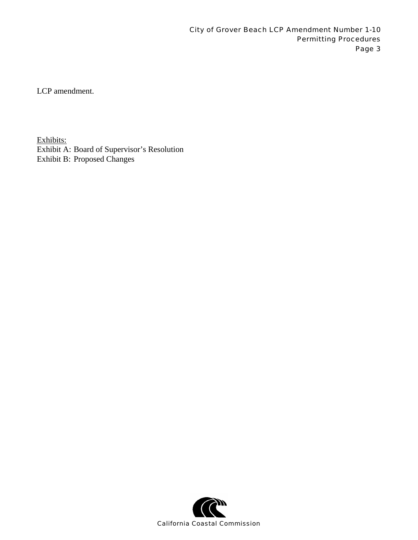LCP amendment.

Exhibits: Exhibit A: Board of Supervisor's Resolution Exhibit B: Proposed Changes

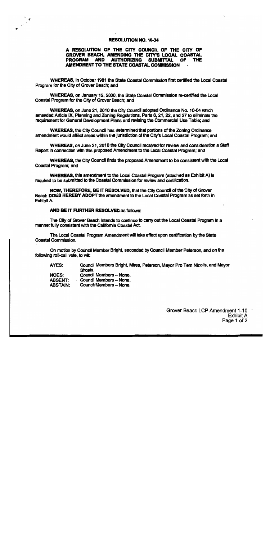### **RESOLUTION NO. 10-34**

### A RESOLUTION OF THE CITY COUNCIL OF THE CITY OF GROVER BEACH. AMENDING THE CITY'S LOCAL COASTAL PROGRAM AND AUTHORIZING SUBMITTAL OF THE AMENDMENT TO THE STATE COASTAL COMMISSION

WHEREAS, in October 1981 the State Coastal Commission first certified the Local Coastal Program for the City of Grover Beach; and

WHEREAS, on January 12, 2000, the State Coastal Commission re-certified the Local Coastal Program for the City of Grover Beach; and

WHEREAS, on June 21, 2010 the City Council adopted Ordinance No. 10-04 which amended Article IX. Planning and Zoning Regulations. Parts 6, 21, 22, and 27 to eliminate the requirement for General Development Plans and revising the Commercial Use Table; and

**WHEREAS, the City Council has determined that portions of the Zoning Ordinance** amendment would affect areas within the jurisdiction of the City's Local Coastal Program: and

WHEREAS, on June 21, 2010 the City Council received for review and consideration a Staff Report in connection with this proposed Amendment to the Local Coastal Program; and

WHEREAS, the City Council finds the proposed Amendment to be consistent with the Local **Coastal Program; and** 

WHEREAS, this amendment to the Local Coastal Program (attached as Exhibit A) is required to be submitted to the Coastal Commission for review and certification.

NOW, THEREFORE, BE IT RESOLVED, that the City Council of the City of Grover Beach DOES HEREBY ADOPT the amendment to the Local Coastal Program as set forth in Exhibit A.

### **AND BE IT FURTHER RESOLVED as follows:**

The City of Grover Beach intends to continue to carry out the Local Coastal Program in a manner fully consistent with the California Coastal Act.

The Local Coastal Program Amendment will take effect upon certification by the State Coastal Commission.

On motion by Council Member Bright, seconded by Council Member Peterson, and on the following roll-call vote, to wit:

AYES: Council Members Bright, Mires, Peterson, Mayor Pro Tem Nicolls, and Mayor Shoals.

Council Members - None. **NOES: ABSENT:** Council Members - None.

**ABSTAIN:** Council Members - None.

> Grover Beach LCP Amendment 1-10 **Exhibit A** Page 1 of 2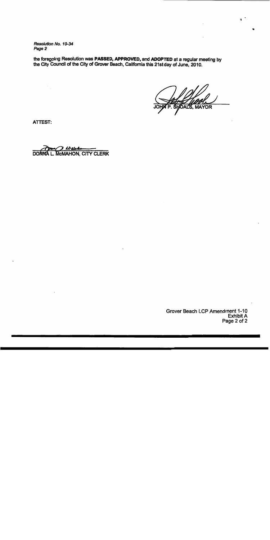Resolution No. 10-34 Page 2

the foregoing Resolution was PASSED, APPROVED, and ADOPTED at a regular meeting by the City Council of the City of Grover Beach, California this 21st day of June, 2010.

**SAL'S, MAYOR** 

чŁ.

**ATTEST:** 

} Urelsko A L. MCMAHON, CITY CLERK **DON'** 

Grover Beach LCP Amendment 1-10 **Exhibit A** Page 2 of 2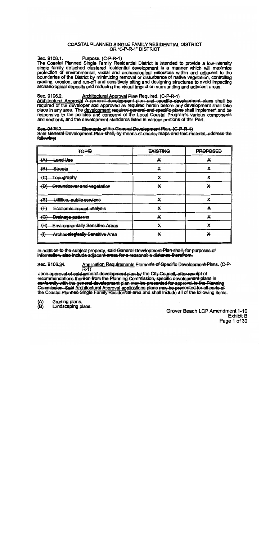### COASTAL PLANNED SINGLE FAMILY RESIDENTIAL DISTRICT OR "C-P-R-1" DISTRICT

Sec. 9106.1. Purpose. (C-P-R-1)

The Coastal Planned Single Family Residential District Is intended to provide a low-Intensity single family detached clustered residential development In a manner which will maximize protection of environmental, visual and archaeological resources within and adiacent to the boundaries of the District by minimizing removal or disturbance of native vegetation, controlling grading, erosion, and run-off and sensitively siting and designing structures to avoid impacting archaeological deposits and reducing the visual impact on surrounding and adjacent areas.

Sec. 9106.2. Architectural Approval Plan Required. (C-P-R-1)<br>Architectural Approval A general development plan and specific development plans shall be required of the developer and approved as required herein before any development shall take place in any area. The development required general and specific plans shall Implement and be responsive to the policies and concerns of the Local Coastal Program's various components and sections, and the development standards listed in various portions of this Part.

Sec. 9106.3. Elements of the General Development Plan. (C-P-R-1) Said General Development Plan shall, by means of charts, maps and text material, address the following:

| <b>TOPIC</b>                                  | <b>EXISTING</b> | <b>PROPOSED</b> |
|-----------------------------------------------|-----------------|-----------------|
| $\leftrightarrow$<br><del>Land Uso</del>      | X               |                 |
| $\left( \biguplus \right)$<br><b>Streets</b>  | X               |                 |
| œ<br><del>Topography</del><br>᠊ᠭᢦ             | X               | ∗               |
| -{D}<br>Groundcover and vegetation            | v               |                 |
| $\leftarrow$<br>Utilities, public services    | X               | X               |
| Economic impact analysis<br>仛                 |                 |                 |
| Drainage-patterns<br>$+G$                     | X               |                 |
| <b>Environmentally Sensitive Areas</b><br>$+$ | X               |                 |
| ⊕<br><b>Archaeologically Sensitive Area</b>   |                 |                 |

In addition to the subject property, said General Development Plan shall, for purposes of information, also include adjacent areas for a reasonable distance therefrom.

Application Requirements Elements of Specific Development Plans. (C-P-<br>R-1) Sec. 9106.34.

Upon approval of said general development plan by the City Council, after receipt of recommendations thereon from the Planning Commission, specific development plans in conformity with the general development plan may be presented for approval to the Planning Commission. Said Architectural Approval applications plans may be presented for all parts of the Coastal Planned Single Family Residential area and shall Include all of the following items:

Grading plans.

 $\begin{array}{c} (A) \\ (B) \end{array}$ Landscaping plans.

Grover Beach LCP Amendment 1-10 **Exhibit B** Page 1 of 30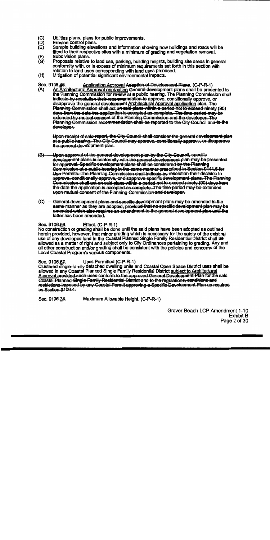- (C)<br>(D)<br>(E) Utilities plans, plans for public improvements.
- Erosion control plans.
- Sample building elevations and information showing how buildings and roads will be fitted to their respective sites with a minimum of grading and vegetation removal.
- Subdivision plans.
- (F)<br>(G) Proposals relative to land use, parking, building helghts, bullding site areas in general conformity with, or In excess of minimum requirements set forth in this section with relation to land uses corresponding with land uses proposed.
- $(H)$ Mitigation of potential significant environmental Impacts.

Sec. 9106.45. Application Approval Adoption of Development Plans. (C-P-R-1)<br>(A) An Architectural Approval application General development plans shall be presented to the Planning Commission for review at a public hearing. The Planning Commission shall indicate by resolution their recommendation to approve, conditionally approve, or disapprove the general development Architectural Approval application plan. The<br>Planning Commission shall act on said plans within a period not to exceed ninety (90) days from the date the application is accepted as complete. The time period may be extended by mutual consent of the Planning Commission and the developer. The Planning Commission recommendation shall be reported to the City Council and to the developer.

Upon receipt of said report, the City Council shall consider the general development plan at a public hearing. The City Council may approve, conditionally approve, or disapprove the general development plan.

- $\left(\mathbf{B}\right)$ Upon approval of the general development plan by the City Council, specific development plans in conformity with the general development plan may be presented for approval. Specific development plans shall be considered by the Planning Commission at a public hearing in the same manner prescribed in Section 9144.5 for Use Permits. The Planning Commission shall indicate by resolution their decision to approve, conditionally approve, or disapprove specific development plans. The Planning<br>Commission shall act on said plans within a period not to exceed ninety (90) days from the date the application is accepted as complete. The time period may be extended upon mutual consent of the Planning Commission and developer.
- General development plans and specific development plans may be amended in the  $\left\langle \mathbb{G}\right\rangle$ same manner as they are adopted, provided that no specific development plan may be amended which also requires an amendment to the general development plan until the latter has been amended.

Effect. (C-P-R-1) Sec. 9106.56.

No construction or grading shall be done until the said plans have been adopted as outlined herein provided, however, that minor grading which is necessary for the safety of the existing use of any developed land in the Coastal Planned Single Family Residential District shall be allowed as a matter of right and subject only to City Ordinances pertaining to grading. Any and all other construction and/or grading shall be consistent with the policies and concerns of the Local Coastal Program's various components.

Uses Permitted (C-P-R-1) Sec. 9106.67.

Clustered single-family detached dwelling units and Coastal Open Space District uses shall be allowed in any Coastal Planned Single Family Residential District subject to Architectural Approval provided such uses conform to the approved General Development Plan for the said Coastal Planned Single Family Residential District and to the regulations, conditions and <u>restrictions imposed by any Coastal Permit approving a Specific Development Plan as required</u> by Section 9106.4.

Maximum Allowable Height. (C-P-R-1) Sec. 9106.78.

> Grover Beach LCP Amendment 1-10 **Exhibit B** Page 2 of 30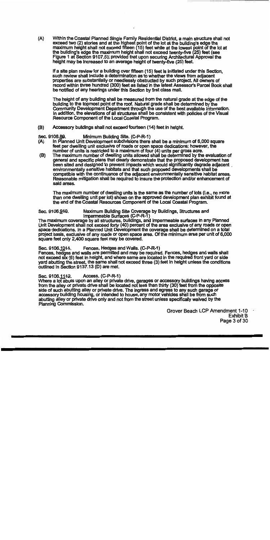$(A)$ Within the Coastal Planned Single Family Residential District, a main structure shall not exceed two (2) stories and at the highest point of the lot at the building's edge the maximum height shall not exceed fifteen (15) feet while at the lowest point of the lot at the building's edge the maximum height shall not exceed twenty-five (25) feet (see Figure 1 at Section 9107.5); provided that upon securing Architectural Approval the height may be Increased to an average height of twenty-five (25) feet.

If a site plan review for a building over fifteen (15) feet is initiated under this Section. such review shall include a determination as to whether the views from adjacent properties are substantially or needlessly obstructed by such project. All owners of record within three hundred (300) feet as listed in the latest Assessor's Parcel Book shall be notified of any hearings under this Section by first class mall.

The height of any building shall be measured from the natural grade at the edge of the building to the topmost point of the roof. Natural grade shall be determined by the Community Development Department through the use of the best available information. in addition, the elevations of all structures shall be consistent with policies of the Visual Resource Component of the Local Coastal Program.

 $(B)$ Accessory buildings shall not exceed fourteen (14) feet in helght.

#### Sec. 9106.89. Minimum Building Site. (C-P-R-1)

- In Planned Unit Development subdivisions there shall be a minimum of 6,000 square (A) feet per dwelling unit exclusive of roads or open space dedications; however, the
- number of units is restricted to a maximum of four (4) units per gross acre.<br>The maximum number of dwelling units allowed shall be determined by the evaluation of  $(B)$ general and specific plans that clearly demonstrate that the proposed development has been sited and designed to prevent impacts which would significantly degrade adjacent. environmentally sensitive habitats and that such proposed developments shall be compatible with the continuance of the adjacent environmentally sensitive habitat areas. Reasonable mitigation shall be required to insure the protection and/or enhancement of said areas.

The maximum number of dwelling units is the same as the number of lots (i.e., no more than one dwelling unit per lot) shown on the approved development plan exhibit found at the end of the Coastal Resources Component of the Local Coastal Program.

#### Sec. 9106.940. Maximum Bullding Site Coverage by Buildings, Structures and Impermeable Surfaces (C-P-R-1)

The maximum coverage by all structures, buildings, and impermeable surfaces In any Planned Unit Development shall not exceed forty (40) percent of the area exclusive of any roads or open space dedications. In a Planned Unit Development the coverage shall be determined on a total project basis, exclusive of any roads or open space area. Of the minimum area per unit of 6,000 square feet only 2,400 square feet may be covered.

#### Sec. 9106.1044. Fences, Hedges and Walls, (C-P-R-1)

Fences, hedges and walls are permitted and may be required. Fences, hedges and walls shall not exceed stx (6) feet in height, and where same are located in the required front yard or side yard abutting the street, the same shall not exceed three (3) feet in height unless the conditions outlined in Section 9137.13 (D) are met.

#### Sec. 9106.1142. Access. (C-P-R-1)

Where a lot abuts upon an alley or private drive, garages or accessory buildings having access from the alley or private drive shall be located not less than thirty (30) feet from the opposite side of such abutting alley or private drive. The Ingress and egress to any such garage or accessory building housing, or intended to house, any motor vehicles shall be from such abutting alley or private drive only and not from the street unless specifically waived by the Planning Commission.

> Grover Beach LCP Amendment 1-10 **Exhibit B** Page 3 of 30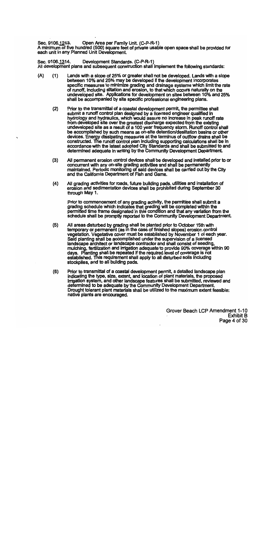Sec. 9106.1243. Open Area per Family Unit. (C-P-R-1)

A minimum of five hundred (500) square feet of private usable open space shall be provided for each unit in any Planned Unit Development.

Development Standards. (C-P-R-1) Sec. 9106.1314. All development plans and subsequent construction shall implement the following standards:

- $(A)$ Lands with a slope of 25% or greater shall not be developed. Lands with a slope  $(1)$ between 10% and 25% may be developed if the development incorporates specific measures to minimize grading and drainage systems which limit the rate of runoff, including siltation and erosion, to that which occurs naturally on the undeveloped site. Applications for development on sites between 10% and 25% shall be accompanied by site specific professional engineering plans.
	- Prior to the transmittal of a coastal development permit, the permittee shall  $(2)$ submit a runoff control plan designed by a licensed engineer qualified in hydrology and hydraulics, which would assure no increase in peak runoff rate from developed site over the greatest discharge expected from the existing undeveloped site as a result of a 100 year frequency storm. Runoff control shall be accomplished by such means as on-site detention/desiltation basins or other devices. Energy dissipating measures at the terminus of outflow drains shall be constructed. The runoff control plan including supporting calculations shall be in accordance with the latest adopted City Standards and shall be submitted to and determined adequate in writing by the Community Development Department.
	- $(3)$ All permanent erosion control devices shall be developed and installed prior to or concurrent with any on-site grading activities and shall be permanently maintained. Periodic monitoring of said devices shall be carried out by the City and the California Department of Fish and Game.
	- $(4)$ All grading activities for roads, future building pads, utilities and installation of erosion and sedimentation devices shall be prohibited during September 30 through May 1.

Prior to commencement of any grading activity, the permittee shall submit a grading schedule which indicates that grading will be completed within the permitted time frame designated in this condition and that any variation from the schedule shall be promptly reported to the Community Development Department.

- $(5)$ All areas disturbed by grading shall be planted prior to October 15th with temporary or permanent (as in the case of finished slopes) erosion control vegetation. Vegetative cover must be established by November 1 of each year. Said planting shall be accomplished under the supervision of a licensed landscape architect or landscape contractor and shall consist of seeding, mulching, fertilization and irrigation adequate to provide 90% coverage within 90 days. Planting shall be repeated if the required level of coverage is not established. This requirement shall apply to all disturbed soils including stockpiles, and to all building pads.
- $(6)$ Prior to transmittal of a coastal development permit, a detailed landscape plan indicating the type, size, extent, and location of plant materials, the proposed irrigation system, and other landscape features shall be submitted, reviewed and determined to be adequate by the Community Development Department. Drought tolerant plant materials shall be utilized to the maximum extent feasible: native plants are encouraged.

Grover Beach LCP Amendment 1-10 **Exhibit B** Page 4 of 30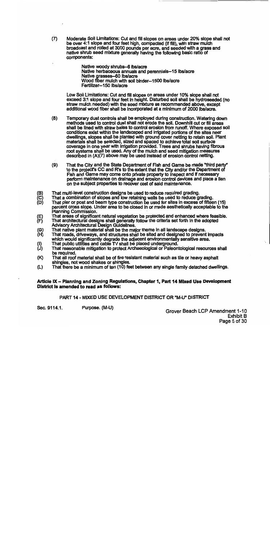$(7)$ Moderate Soil Limitations: Cut and fill slopes on areas under 20% slope shall not be over 4:1 slope and four feet high, compacted (if fill), with straw mulch broadcast and rolled at 3000 pounds per acre, and seeded with a grass and native shrub seed mixture generally having the following basic ratio of components:

> Native woody shrubs-6 lbs/acre Native herbaceous annuals and perennials--15 lbs/acre Native grasses-60 lbs/acre Wood fiber mulch with soil binder-1500 lbs/acre Fertilizer-150 lbs/acre

Low Soil Limitations: Cut and fill slopes on areas under 10% slope shall not exceed 3:1 slope and four feet in height. Disturbed soil shall be hydroseeded (no straw mulch needed) with the seed mixture as recommended above, except additional wood fiber shall be incorporated at a minimum of 2000 lbs/acre.

- $(8)$ Temporary dust controls shall be employed during construction. Watering down methods used to control dust shall not erode the soil. Downhill cut or fill areas shall be lined with straw bales to control erosion from runoff. Where exposed soil conditions exist within the landscaped and irrigated portions of the sites near dwellings, slopes shall be planted with ground cover netting to retain soil. Plant materials shall be selected, sized and spaced to achieve total soil surface coverage in one year with irrigation provided. Trees and shrubs having fibrous root systems shall be used. Any of the mulch and seed mitigation measures described in (A)(7) above may be used instead of erosion control netting.
- $(9)$ That the City and the State Department of Fish and Game be made "third party" to the project's CC and R's to the extent that the City and/or the Department of Fish and Game may come onto private property to inspect and if necessary perform maintenance on drainage and erosion control devices and place a lien on the subject properties to recover cost of said maintenance.
- That multi-level construction designs be used to reduce required grading.
- (B)<br>(C)<br>(D)
- That a combination of slopes and low retaining walls be used to reduce grading.<br>That pier or post and beam type construction be used for sites in excess of fifteen (15) percent cross slope. Under area to be closed in or made aesthetically acceptable to the Planning Commission.
- That areas of significant natural vegetation be protected and enhanced where feasible. 得
- That architectural designs shall generally follow the criteria set forth in the adopted Advisory Architectural Design Guldellnes.
- (G)<br>(H) That native plant material shall be the major theme in all landscape designs.
- That roads, driveways, and structures shall be sited and designed to prevent Impacts which would significantly degrade the adjacent environmentally sensitive area.
- That public utilities and cable TV shall be placed underground.
- (I)<br>(J) That reasonable mitigation to protect Archaeological or Paleontological resources shall be required.
- $(K)$ That all roof material shall be of fire resistant material such as tile or heavy asphait shingles, not wood shakes or shingles.
- That there be a minimum of ten (10) feet between any single family detached dwellings.  $(L)$

# Article IX - Planning and Zoning Regulations, Chapter 1, Part 14 Mixed Use Development District is amended to read as follows:

PART 14 - MIXED USE DEVELOPMENT DISTRICT OR "M-U" DISTRICT

Sec. 9114.1.

Purpose. (M-U)

Grover Beach LCP Amendment 1-10 **Exhibit B** Page 5 of 30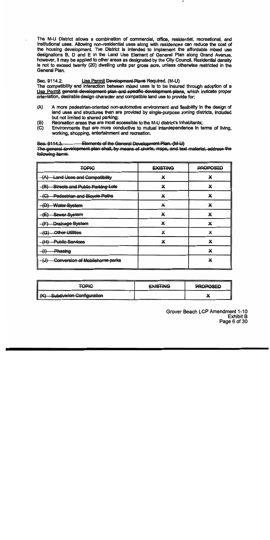The M-U District allows a combination of commercial, office, residential, recreational, and institutional uses. Allowing non-residential uses along with residences can reduce the cost of the housing development. The District is intended to Implement the affordable mixed use designations B. D and E in the Land Use Element of General Plan along Grand Avenue, however, it may be applied to other areas as designated by the City Council. Residential density is not to exceed twenty (20) dwelling units per gross acre, unless otherwise restricted in the General Plan.

#### Sec. 9114.2. Use Permit Development Plans Reguired. (M-U)

The compatibility and interaction between mixed uses is to be insured through adoption of a Use Permit general development plan and specific development plans, which indicate proper orientation, desirable design character and compatible land use to provide for:

- $(A)$ A more pedestrian-oriented non-automotive environment and flexibility in the design of land uses and structures than are provided by single-purpose zoning districts, included but not limited to shared parking:
- Recreation areas that are most accessible to the M-U district's inhabitants:  $(B)$
- $(C)$ Environments that are more conductive to mutual interdependence in terms of living. working, shopping, entertainment and recreation.

#### Elements of the General Development Plan. (M-U) Sec. 9114.3.

The general development plan shall, by means of charts, maps, and text material, address the following items:

| <b>TOPIC</b>                                             | <b>EXISTING</b> | PROPOSED |
|----------------------------------------------------------|-----------------|----------|
| Land Uses and Compatibility<br>(A)                       | ×               | X        |
| <b>Streets and Public Parking Lots</b><br><del>(B)</del> | X               | X        |
| <b>Pedestrian and Bicycle Paths</b><br>$+G$              | X               | Х        |
| (D)<br><b>Water System</b><br>۳U۲                        | X               | X        |
| Sewer System<br>{E)                                      | X               | X        |
| Drainage System                                          | ×               | X        |
| Other Utilities<br>$-\left( G\right)$                    | X               | X        |
| <b>Public Services</b><br>(H)                            | X               | X        |
| Phasing<br>₩                                             |                 | X        |
| Conversion of Mobilehome parks<br>(↓)                    |                 | X        |

| <b>TOPIC</b>                                  | <b>EXISTING</b> | <b>PROPOSED</b> |
|-----------------------------------------------|-----------------|-----------------|
| { <del>K}</del><br>-Subdivision-Configuration |                 |                 |

Grover Beach LCP Amendment 1-10 **Exhibit B** Page 6 of 30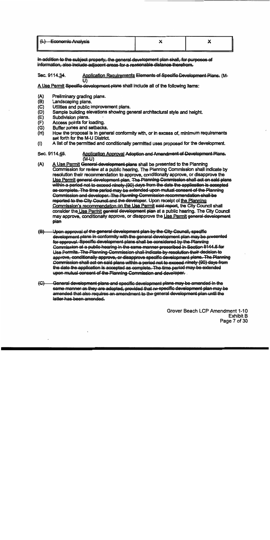| <del>Economic Analysis</del><br>$\tau \rightarrow$ |  |  |  |
|----------------------------------------------------|--|--|--|
|                                                    |  |  |  |

In addition to the subject property, the general development plan shall, for purposes of information, also include adiacent areas for a reasonable distance therefrom.

Sec. 9114.34. Application Requirements Elements of Specific Development Plans. (Mī۱

A Use Permit Specific development plans shall include all of the following items:

- $(A)$ Preliminary grading plans.
- (B) Landscaping plans.
- $(C)$ Utilities and public Improvement plans.
- (D) Sample building elevations showing general architectural style and helght.
- $(E)$ Subdivision plans.
- $(F)$ Access points for loading.
- $(G)$ Buffer zones and setbacks.
- $(H)$ How the proposal is in general conformity with, or in excess of, minimum requirements set forth for the M-U District.
- A list of the permitted and conditionally permitted uses proposed for the development.  $(1)$

#### Application Approval Adoption and Amendment of Development Plans. Sec. 9114.45. (M-U)

- A Use Permit General development plans shall be presented to the Planning  $(A)$ Commission for review at a public hearing. The Planning Commission shall indicate by resolution their recommendation to approve, conditionally approve, or disapprove the Use Permit general development plan. The Planning Commission shall act on said plans within a period not to exceed ninety (90) days from the date the application is accepted as complete. The time period may be extended upon mutual consent of the Planning Commission and developer. The Planning Commission recommendation shall be reported to the City Council and the developer. Upon receipt of the Planning Commission's recommendation on the Use Permit said report, the City Council shall consider the Use Permit general development plan at a public hearing. The City Council may approve, conditionally approve, or disapprove the Use Permit general development plan
- Upon approval of the general development plan by the City Council, specific  $\left( \bigoplus \right)$ development plans in conformity with the general development plan may be presented for approval. Specific development plans shall be considered by the Planning Commission at a public hearing in the same manner prescribed in Section 9144.5 for Use Permits. The Planning Commission shall indicate by resolution their decision to approve, conditionally approve, or disapprove specific development plans. The Planning Commission shall act on said plans within a period not to exceed ninety (90) days from the date the application is accepted as complete. The time period may be extended upon mutual consent of the Planning Commission and developer.
- General development plans and specific development plans may be amended in the  $\left\langle \mathbb{G}\right\rangle$ same manner as they are adopted, provided that no specific development plan may be amended that also requires an amendment to the general development plan until the latter has been amended.

Grover Beach LCP Amendment 1-10 Exhibit B Page 7 of 30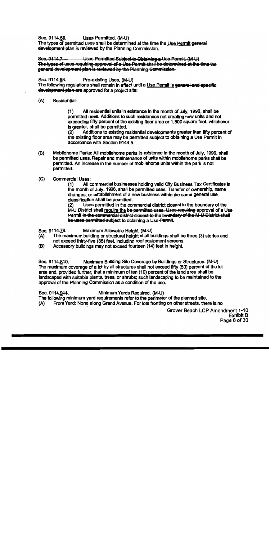Sec. 9114.56. Uses Permitted. (M-U)

The types of permitted uses shall be determined at the time the Use Permit general development plan is reviewed by the Planning Commission.

Sec. 9114.7. Uses Permitted Subject to Obtaining a Use Permit. (M-U) The types of uses requiring approval of a Use Permit shall be determined at the time the general development plan is reviewed by the Planning Commission.

Sec. 9114.68. Pre-existing Uses. (M-U)

The following requiations shall remain in effect until a Use Permit is general and specific development plan are approved for a project site:

#### $(A)$ Residential:

 $(1)$ All residential units in existence in the month of July, 1996, shall be permitted uses. Additions to such residences not creating new units and not exceeding fifty percent of the existing floor area or 1,500 square feet, whichever is greater, shall be permitted.

Additions to existing residential developments greater than fifty percent of  $(2)$ the existing floor area may be permitted subject to obtaining a Use Permit in accordance with Section 9144.5.

(B) Mobilehome Parks: All mobilehome parks in existence in the month of July, 1996, shall be permitted uses. Repair and maintenance of units within mobilehome parks shall be permitted. An increase in the number of mobilehome units within the park is not permitted.

#### $(C)$ **Commercial Uses:**

 $(1)$ All commercial businesses holding valid City Business Tax Certificates in the month of July, 1996, shall be permitted uses. Transfer of ownership, name changes, or establishment of a new business within the same general use classification shall be permitted.

Uses permitted in the commercial district closest to the boundary of the  $(2)$ M-U District shall require the be-permitted-uses. Uses requiring approval of a Use Permit in the commercial district closest to the boundary of the M-U District shall be uses permitted subject to obtaining a Use Permit.

Sec. 9114.79. Maximum Allowable Height. (M-U)

- The maximum building or structural height of all buildings shall be three (3) stories and  $(A)$ not exceed thirty-five (35) feet, including roof equipment screens.
- (B) Accessory buildings may not exceed fourteen (14) feet in height.

Sec. 9114.840. Maximum Building Site Coverage by Buildings or Structures. (M-U) The maximum coverage of a lot by all structures shall not exceed fifty (50) percent of the lot area and, provided further, that a minimum of ten (10) percent of the land area shall be landscaped with suitable plants, trees, or shrubs; such landscaping to be maintained to the approval of the Planning Commission as a condition of the use.

Sec. 9114.944. Minimum Yards Required. (M-U)

The following minimum yard requirements refer to the perimeter of the planned site.

Front Yard: None along Grand Avenue. For lots fronting on other streets, there is no  $(A)$ 

> Grover Beach LCP Amendment 1-10 **Exhibit B** Page 8 of 30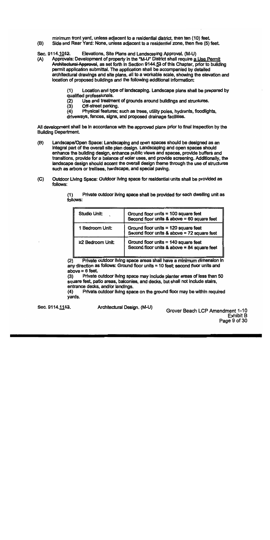minimum front yard, unless adjacent to a residential district, then ten (10) feet. Side and Rear Yard: None, unless adiacent to a residential zone, then five (5) feet.

Sec. 9114.1042. Elevations, Site Plans and Landscaping Approval. (M-U)

Approvals: Development of property in the "M-U" District shall require a Use Permit  $(A)$ Architectural Approval, as set forth in Section 9144.53 of this Chapter, prior to building permit application submittal. The application shall be accompanied by detailed architectural drawings and site plans, all to a workable scale, showing the elevation and location of proposed buildings and the following additional information:

> Location and type of landscaping. Landscape plans shall be prepared by  $(1)$ qualified professionals.

- Use and treatment of grounds around buildings and structures.  $(2)$
- $(3)$ Off-street parking.

(B)

 $(4)$ Physical features; such as trees, utility poles, hydrants, floodlights, driveways, fences, signs, and proposed drainage facilities.

All development shall be in accordance with the approved plans prior to final inspection by the **Building Department.** 

- $(B)$ Landscape/Open Space: Landscaping and open spaces should be designed as an integral part of the overall site plan design. Landscaping and open spaces should enhance the building design, enhance public views and spaces, provide buffers and transitions, provide for a balance of solar uses, and provide screening. Additionally, the landscape design should accent the overall design theme through the use of structures such as arbors or trellises, hardscape, and special paving.
- $(C)$ Outdoor Living Space: Outdoor Ilving space for residential units shall be provided as follows:

| Studio Unit:     | Ground floor units = 100 square feet<br>Second floor units & above = $60$ square feet |
|------------------|---------------------------------------------------------------------------------------|
| 1 Bedroom Unit:  | Ground floor units $= 120$ square feet<br>Second floor units & above = 72 square feet |
| ≥2 Bedroom Unit: | Ground floor units $= 140$ square feet<br>Second floor units & above = 84 square feet |

Private outdoor living space shall be provided for each dwelling unit as  $(1)$ follows:

 $(2)$ Private outdoor living space areas shall have a minimum dimension in any direction as follows: Ground floor units  $= 10$  feet: second floor units and above  $= 6$  feet.

Private outdoor Ilving space may include planter areas of less than 50  $(3)$ square feet, patio areas, baiconies, and decks, but shall not include stairs, entrance decks, and/or landings.

Private outdoor living space on the ground floor may be within required  $(4)$ yards.

Sec. 9114.1143.

Architectural Design. (M-U)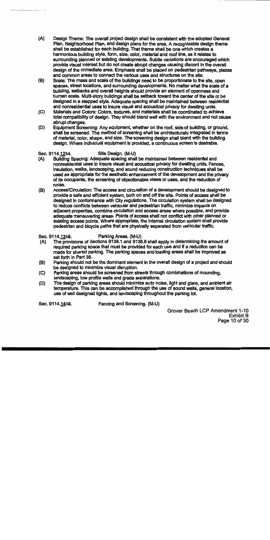- $(A)$ Design Theme: The overall project design shall be consistent with the adopted General Plan, Neighborhood Plan, and design plans for the area. A recognizable design theme shall be established for each building. That theme shall be one which creates a harmonious building style, form, size, color, material and roof line, as it relates to surrounding planned or existing developments. Subtle variations are encouraged which provide visual interest but do not create abrupt changes causing discord in the overall design of the immediate area. Emphasis shall be placed on pedestrian pathways, plazas and common areas to connect the various uses and structures on the site.
- Scale: The mass and scale of the buildings need to be proportionate to the site, open (B) spaces, street locations, and surrounding developments. No matter what the scale of a building. setbacks and overall heights should provide an element of openness and human scale. Multl-story buildings shall be setback toward the center of the site or be designed in a stepped style. Adequate spacing shall be maintained between residential and nonresidential uses to insure visual and acoustical privacy for dwelling units.
- $(C)$ Materials and Colors: Colors, textures, and materials shall be coordinated to achieve total compatibility of design. They should blend well with the environment and not cause abrupt changes.
- (D) Equipment Screening: Any equipment, whether on the roof, side of building, or ground, shall be screened. The method of screening shall be architecturally integrated in terms of material, color, shape, and size. The screening design shall blend with the building design. Where individual equipment is provided, a continuous screen is desirable.

#### Sec. 9114.1244. Site Design. (M-U)

- Building Spacing: Adequate spacing shall be maintained between residential and  $(A)$ nonresidential uses to insure visual and acoustical privacy for dwelling units. Fences, insulation, walks, landscaping, and sound reducing construction techniques shall be used as appropriate for the aesthetic enhancement of the development and the privacy of its occupants, the screening of objectionable views or uses, and the reduction of noise.
- Access/Circulation: The access and circulation of a development should be designed to (B) provide a safe and efficient system, both on and off the site. Points of access shall be designed in conformance with City regulations. The circulation system shall be designed to reduce conflicts between vehicular and pedestrian traffic, minimize impacts on . adiacent properties, combine circulation and access areas where possible, and provide adequate maneuvering areas. Points of access shall not conflict with other planned or existing access points. Where appropriate, the internal circulation system shall provide pedestrian and bicycle paths that are physically separated from vehicular traffic.

#### Sec. 9114.1345. Parking Areas. (M-U)

- The provisions of Sections 9138.1 and 9138.8 shall apply in determining the amount of (A) required parking space that must be provided for each use and if a reduction can be made for shared parking. The parking spaces and loading areas shall be improved as set forth in Part 38.
- Parking should not be the dominant element in the overall design of a project and should  $(B)$ be designed to minimize visual disruption.
- Parking areas should be screened from streets through combinations of mounding.  $(C)$ landscaping, low profile walls and grade separations.
- The design of parking areas should minimize auto noise. Ilght and glare, and ambient air (D) temperature. This can be accomplished through the use of sound walls, general location, use of well designed lights, and landscaping throughout the parking lot.

Sec. 9114.1446.

Fencing and Screening. (M-U)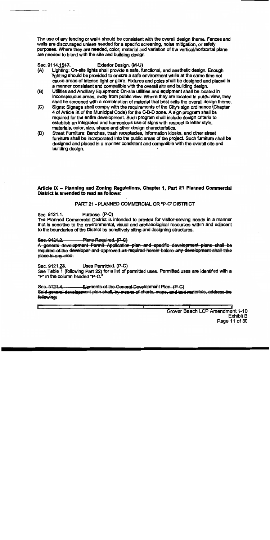The use of any fencing or walls should be consistent with the overall design theme. Fences and walls are discouraged unless needed for a specific screening, noise mitigation, or safety purposes. Where they are needed, color, material and variation of the vertical/horizontal plane are needed to blend with the site and building design.

#### Sec. 9114, 1547. Exterior Design. (M-U)

- Lighting: On-site lights shall provide a safe, functional, and aesthetic design. Enough  $(A)$ lighting should be provided to ensure a safe environment while at the same time not cause areas of intense light or glare. Fixtures and poles shall be designed and placed in a manner consistent and compatible with the overall site and building design.
- Utilities and Ancillary Equipment: On-site utilities and equipment shall be located in (B) inconspicuous areas, away from public vlew. Where they are located in public view, they shall be screened with a combination of material that best suits the overall design theme.
- Signs: Signage shall comply with the requirements of the City's sign ordinance (Chapter  $(C)$ 4 of Article IX of the Municipal Code) for the C-B-D zone. A sign program shall be required for the entire development. Such program shall include design criteria to establish an integrated and harmonious use of slons with respect to letter style. materials, color, size, shape and other design characteristics.
- Street Furniture: Benches, trash receptacles, information kiosks, and other street (D) furniture shall be incorporated into the public areas of the project. Such furniture shall be designed and placed in a manner consistent and compatible with the overall site and building design.

# Article IX - Planning and Zoning Regulations. Chapter 1, Part 21 Planned Commercial District Is amended to read as follows:

# PART 21 - PLANNED COMMERCIAL OR "P-C" DISTRICT

Sec. 9121.1. Purpose, (P-C)

The Planned Commercial District is intended to provide for visitor-serving needs in a manner that is sensitive to the environmental, visual and archaeological resources within and adjacent to the boundaries of the District by sensitively siting and designing structures.

#### Sec. 9121.2. Plans Required. (P-C)

A general development Permit Application plan and specific development plans shall be required of the developer and approved as required herein before any development shall take place in any area.

Sec. 9121.23. Uses Permitted. (P-C)

See Table 1 (following Part 22) for a list of permitted uses. Permitted uses are identified with a "P" in the column headed "P-C."

- Elements of the General Development Plan. (P-C) Sec. 9121.4. Said general development plan shall, by means of charts, maps, and text materials, address the following: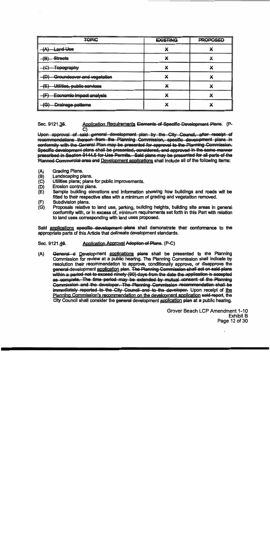| <b>TOPIC</b>                             | <b>EXISTING</b> | <b>PROPOSED</b> |
|------------------------------------------|-----------------|-----------------|
| <del>Land Uso</del><br>68 N              |                 |                 |
| /Q`<br><b>Streets</b><br>Œ               |                 |                 |
| <del>Topography</del>                    |                 |                 |
| וחז<br>Groundcover and vegetation        |                 |                 |
| Utilities, public services<br>/F)<br>τ÷, |                 |                 |
| 7F)<br>Economic impact analysis          |                 |                 |
| בי<br>Drainage-patterns                  |                 |                 |

Application Requirements Elements of Specific Development Plans. (P-Sec. 9121.35. C)

Upon approval of said general development plan by the City Council, after receipt of recommendations thereon from the Planning Commission, specific development plans in conformity with the General Plan may be presented for approval to the Planning Commission. Specific development plans shall be presented, considered, and approved in the same manner prescribed in Section 9144.5 for Use Permits. Said plans may be presented for all parts of the Planned Commercial area and Development applications shall include all of the following items:

- $(A)$ **Grading Plans.**
- $(B)$ Landscaping plans.
- $(C)$ Utilities plans; plans for public improvements.
- $(D)$ Erosion control plans.
- $(E)$ Sample building elevations and information showing how buildings and roads will be fitted to their respective sites with a minimum of grading and vegetation removed.
- Subdivision plans. (F)
- (G) Proposals relative to land use, parking, building heights, building site areas in general conformity with, or in excess of, minimum requirements set forth in this Part with relation to land uses corresponding with land uses proposed.

Said applications specific development plans shall demonstrate their conformance to the appropriate parts of this Article that delineate development standards.

#### Sec. 9121.46. Application Approval Adoption of Plans. (P-C)

General d Development applications plans shall be presented to the Planning  $(A)$ Commission for review at a public hearing. The Planning Commission shall indicate by resolution their recommendation to approve, conditionally approve, or disapprove the general-development application plan. The Planning Commission shall act on said plans within a period not to exceed ninety (90) days from the date the application is accepted as complete. The time period may be extended by mutual consent of the Planning Commission and the developer. The Planning Commission recommendation shall be immediately reported to the City Council and to the developer. Upon receipt of the Planning Commission's recommendation on the development application said-report, the City Council shall consider the general development application plan at a public hearing.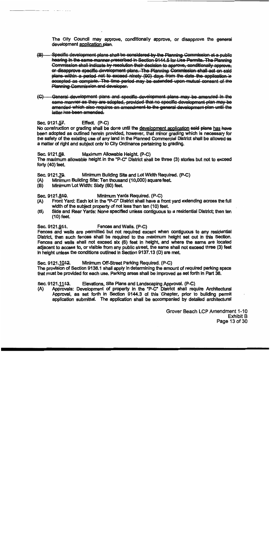The City Council may approve, conditionally approve, or disapprove the general development application plan.

- $\left( \mathbf{B}\right)$ -Specific development-plans-shall-be-considered-by-the-Planning-Commission-at-a-public hearing in the same manner prescribed in Section 9144.5 for Use Permits. The Planning Commission shall indicate by resolution their decision to approve, conditionally approveor disapprove specific development plans. The Planning Commission shall act on said plans within a period not to exceed ninety (90) days from the date the application is accepted as complete. The time period may be extended upon mutual consent of the **Planning Commission and developer.**
- (C) General development plans and specific development plans may be amended in the same manner as they are adopted, provided that no specific development plan may be arnended which also requires an amendment to the general development plan until the latter has been amended.

#### Sec. 9121.57. Effect. (P-C)

No construction or grading shall be done until the development application said plans has have been adopted as outlined herein provided, however, that minor grading which is necessary for the safety of the existing use of any land in the Planned Commercial District shall be allowed as a matter of right and subject only to City Ordinance pertaining to grading.

#### Maximum Allowable Height. (P-C) Sec. 9121.68.

The maximum allowable height in the "P-C" District shall be three (3) stories but not to exceed forty (40) feet.

Sec. 9121.79. Minimum Building Site and Lot Width Required. (P-C)

- $(A)$ Minimum Building Site: Ten thousand (10,000) square feet.
- Minimum Lot Width: Sixty (60) feet. (B)

Sec. 9121.840. Minimum Yards Required. (P-C)

- (A) Front Yard: Each lot in the "P-C" District shall have a front yard extending across the full width of the subject property of not less than ten (10) feet.
- Side and Rear Yards: None specified unless contiguous to a residential District; then ten  $(B)$  $(10)$  feet.

Sec. 9121.944. Fences and Walls. (P-C)

Fences and walls are permitted but not required except when contiquous to any residential District, then such fences shall be required to the maximum height set out in this Section. Fences and walls shall not exceed six (6) feet in height, and where the same are located adjacent to access to, or visible from any public street, the same shall not exceed three (3) feet In height unless the conditions outlined in Section 9137.13 (D) are met.

Sec. 9121, 1042. Minimum Off-Street Parking Required. (P-C)

The provision of Section 9138.1 shall apply in determining the amount of required parking space that must be provided for each use. Parking areas shall be improved as set forth in Part 38.

#### Elevations, Site Plans and Landscaping Approval. (P-C) Sec. 9121.1143.

Approvals: Development of property in the "P-C" District shall require Architectural (A) Approval, as set forth in Section 9144.3 of this Chapter, prior to building permit application submittal. The application shall be accompanied by detailed architectural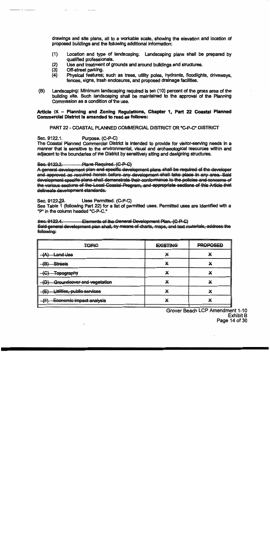drawings and site plans, all to a workable scale, showing the elevation and location of proposed buildings and the following additional information:

- $(1)$ Location and type of landscaping. Landscaping plans shall be prepared by qualified professionals.
- $(2)$ Use and treatment of grounds and around buildings and structures.
- $\ddot{3}$ Off-street parking.
- $(4)$ Physical features; such as trees, utility poles, hydrants, floodlights, driveways, fences, signs, trash enclosures, and proposed drainage facilities.
- Landscaping: Minimum landscaping required is ten (10) percent of the gross area of the  $(B)$ building site. Such landscaping shall be maintained to the approval of the Planning Commission as a condition of the use.

# Article IX - Planning and Zoning Regulations, Chapter 1, Part 22 Coastal Planned **Commercial District is amended to read as follows:**

PART 22 - COASTAL PLANNED COMMERCIAL DISTRICT OR "C-P-C" DISTRICT

Sec. 9122.1. Purpose. (C-P-C)

The Coastal Planned Commercial District is intended to provide for visitor-serving needs in a manner that is sensitive to the environmental, visual and archaeological resources within and adiacent to the boundaries of the District by sensitively siting and designing structures.

#### Plans Required. (C-P-C) Sec. 9122.2

A general development plan and specific development plans shall be required of the developer and approved as required herein before any development shall take place in any area. Said development specific plans shall demonstrate their conformance to the policies and concerns of the various sections of the Local Coastal Program, and appropriate sections of this Article that delineate development standards.

#### Sec. 9122.23. Uses Permitted. (C-P-C)

See Table 1 (following Part 22) for a list of permitted uses. Permitted uses are identified with a "P" in the column headed "C-P-C."

Elements of the General Development Plan. (C-P-C) Sec. 9122.4. Said-general development plan shall, by means of charts, maps, and text materials, address the following:

| <b>TOPIC</b>                           | . The state of the state of the state of the state of the state of the state of the state of the state of the state of the state of the<br><b>EXISTING</b> | <b>PROPOSED</b> |
|----------------------------------------|------------------------------------------------------------------------------------------------------------------------------------------------------------|-----------------|
| <b>Land Use</b><br>78 N                |                                                                                                                                                            |                 |
| <b>Streets</b><br>(R)<br>е             |                                                                                                                                                            |                 |
| <del>Topography</del>                  |                                                                                                                                                            |                 |
| m<br>Groundcover and vegetation<br>प्य |                                                                                                                                                            |                 |
| י⊐/<br>Utilities, public services<br>Œ | v                                                                                                                                                          |                 |
| Œ<br>Economic impact analysis          | v                                                                                                                                                          |                 |
|                                        |                                                                                                                                                            |                 |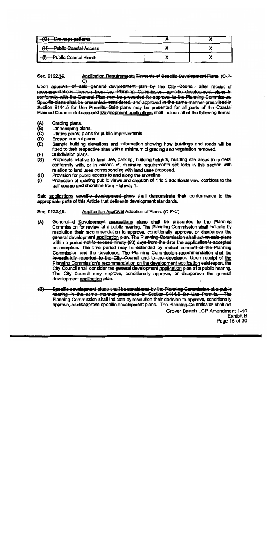| <b>Drainage patterns</b>    |  |
|-----------------------------|--|
| - Public Coastal Access     |  |
| <b>Public Coastal Views</b> |  |

Application Requirements Elements of Specific Development Plans. (C-P-Sec. 9122.35.  $\overline{\mathbf{C}}$ 

Upon approval of said general development plan by the City Council, after receipt of recommendations thereon from the Planning Commission, specific development plans in conformity with the General Plan may be presented for approval to the Planning Commission. Specific plans shall be presented, considered, and approved in the same manner prescribed in Section 9144.5 for Use Permits. Said plans may be presented for all parts of the Coastal Planned Commercial area and Development applications shall include all of the following items:

- $(A)$ Grading plans.
- $(B)$ Landscaping plans.
- $(C)$ Utilities plans; plans for public improvements.
- $(D)$ Erosion control plans.
- Sample building elevations and information showing how buildings and roads will be  $(E)$ fitted to their respective sites with a minimum of grading and vegetation removed.
- Subdivision plans.  $(F)$
- Proposals relative to land use, parking, building heights, building site areas in general  $(G)$ conformity with, or in excess of, minimum requirements set forth in this section with relation to land uses corresponding with land uses proposed.
- Provision for public access to and along the shoreline.  $(H)$
- Protection of existing public views and creation of 1 to 3 additional view corridors to the  $(1)$ golf course and shoreline from Highway 1.

Said applications specific development plans shall demonstrate their conformance to the appropriate parts of this Article that delineate development standards.

#### Application Approval Adoption of Plans. (C-P-C) Sec. 9122.46.

- $(A)$ General d Development applications plans shall be presented to the Planning Commission for review at a public hearing. The Planning Commission shall indicate by resolution their recommendation to approve, conditionally approve, or disapprove the general-development application plan. The Planning Commission shall act on said-plans within a period not to exceed ninety (90) days from the date the application is accepted as complete. The time period may be extended by mutual consent of the Planning Commission and the developer. The Planning Commission recommendation shall be immediately reported to the City Council and to the developer. Upon receipt of the Planning Commission's recommendation on the development application said-report, the City Council shall consider the general development application plan at a public hearing. The City Council may approve, conditionally approve, or disapprove the general development application plan.
- Specific development plans shall be considered by the Planning Commission at a public  $\left( \bigoplus \right)$ hearing in the same manner prescribed in Section 9144.5 for Use Permits. The Planning Commission shall indicate by resolution their decision to approve, conditionally approve, or disapprove specific development plans. The Planning Commission shall act

Grover Beach LCP Amendment 1-10 **Exhibit B** Page 15 of 30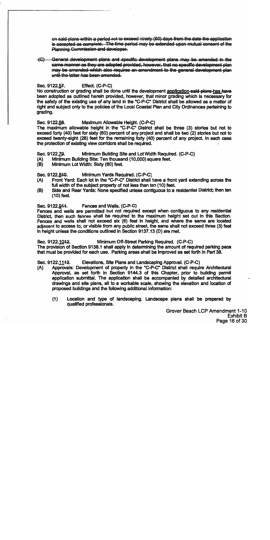on said plans within a period not to exceed ninety (90) days from the date the application is accepted as complete. The time period may be extended upon mutual consent of the Planning Commission and developer.

(C) General development-plans and specific development plans may be amended in the same manner as they are adopted provided, however, that no specific development plan may be amended which also requires an amendment to the general development plan until the latter has been amended.

#### Effect. (C-P-C) Sec. 9122.57.

No construction or grading shall be done until the development application-said-plans-has have been adopted as outlined herein provided, however, that minor grading which is necessary for the safety of the existing use of any land in the "C-P-C" District shall be allowed as a matter of right and subject only to the policies of the Local Coastal Plan and City Ordinances pertaining to grading.

Sec. 9122.68. Maximum Allowable Height. (C-P-C)

The maximum allowable height in the "C-P-C" District shall be three (3) stories but not to exceed forty (40) feet for sixty (60) percent of any project and shall be two (2) stories but not to exceed twenty-eight (28) feet for the remaining forty (40) percent of any project. In each case the protection of existing view corridors shall be required.

Sec. 9122.79. Minimum Building Site and Lot Width Regulred. (C-P-C)

- Minimum Building Site: Ten thousand (10,000) square feet. (A)
- Minimum Lot Width: Sixty (60) feet. (B)

Sec. 9122.840. Minimum Yards Required. (C-P-C)

- Front Yard: Each lot in the "C-P-C" District shall have a front yard extending across the (A) full width of the sublect property of not less than ten (10) feet.
- (B) Side and Rear Yards: None specified unless contiguous to a residential District; then ten  $(10)$  feet.

Sec. 9122.944. Fences and Wails. (C-P-C)

Fences and walls are permitted but not required except when contiguous to any residential District, then such fences shall be required to the maximum height set out in this Section. Fences and wails shall not exceed six (6) feet in height, and where the same are located adjacent to access to, or visible from any public street, the same shall not exceed three (3) feet in height unless the conditions outlined in Section 9137.13 (D) are met.

Sec. 9122.1042. Minimum Off-Street Parking Required. (C-P-C) The provision of Section 9138.1 shall apply in determining the amount of required parking pace that must be provided for each use. Parking areas shall be improved as set forth In Part 38.

Sec. 9122.1143. Elevations, Site Plans and Landscaping Approval. (C-P-C)

- Approvals: Development of property in the "C-P-C" District shall require Architectural (A) Approval, as set forth in Section 9144.3 of this Chapter, prior to building permit application submittal. The application shall be accompanied by detailed architectural drawings and site plans, all to a workable scale, showing the elevation and location of proposed buildings and the following additional information:
	- $(1)$ Location and type of landscaping. Landscape plans shall be prepared by qualified professionals.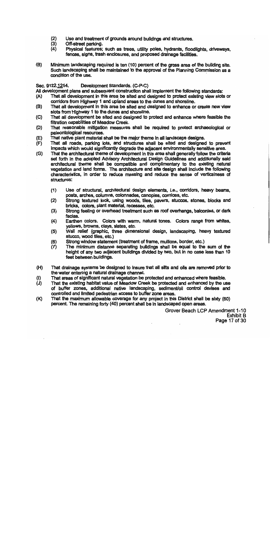- $(2)$ Use and treatment of grounds around buildings and structures.
- $(3)$ Off-street parking.
- $(4)$ Physical features; such as trees, utility poles, hydrants, floodlights, driveways, fences, slans, trash enclosures, and proposed drainage facilities.
- (B) Minimum landscaping required is ten (10) percent of the gross area of the building site. Such landscaping shall be maintained to the approval of the Planning Commission as a condition of the use.

#### Sec. 9122.1244. Development Standards. (C-P-C)

All development plans and subsequent construction shall implement the following standards:

- That all development in this area be sited and designed to protect existing view slots or  $(A)$ corridors from Highway 1 and upland areas to the dunes and shoreline.
- (B) That all development in this area be sited and designed to enhance or create new view slots from Highway 1 to the dunes and shoreline.
- That all development be sited and designed to protect and enhance where feasible the  $(C)$ filtration capabilities of Meadow Creek.
- That reasonable mitigation measures shall be required to protect archaeological or (D) paleontological resources.
- That native plant material shall be the major theme in all landscape designs.  $(E)$
- That all roads, parking lots, and structures shall be sited and designed to prevent  $(F)$ impacts which would significantly degrade the adjacent environmentally sensitive area.
- That the architectural theme of development in this area shall generally follow the criteria  $(G)$ set forth in the adopted Advisory Architectural Design Guidelines and additionally said architectural theme shall be compatible and complimentary to the existing natural vegetation and land forms. The architecture and site design shall include the following characteristics, in order to reduce massing and reduce the sense of verticalness of structures:
	- Use of structural, architectural design elements, i.e., corridors, heavy beams,  $(1)$ posts, arches, columns, colonnades, canopies, cornices, etc.
	- Strong textured look, using woods, tiles, pavers, stuccos, stones, blocks and  $(2)$ bricks, colors, plant material, recesses, etc.
	- Strong feeling or overhead treatment such as roof overhangs, balconies, or dark  $(3)$ facias.
	- $(4)$ Earthen colors. Colors with warm, natural tones. Colors range from whites, yellows, browns, clays, slates, etc.
	- Wall relief (graphic, three dimensional design, landscaping, heavy textured  $(5)$ stucco, wood tiles, etc.)
	- Strong window statement (treatment of frame, mullions, border, etc.)  $(6)$
	- $(7)$ The minimum distance separating buildings shall be equal to the sum of the height of any two adjacent buildings divided by two, but in no case less than 10 feet between buildings.
- That drainage systems be designed to Insure that all silts and olls are removed prior to (H) the water entering a natural drainage channel.
- That areas of significant natural vegetation be protected and enhanced where feasible.  $\mathbf{u}$
- That the existing habitat value of Meadow Creek be protected and enhanced by the use  $(J)$ of buffer zones, additional native landscaping, sediment/oil control devises and controlled and limited pedestrian access to buffer zone areas.
- That the maximum allowable coverage for any project in this District shall be sixty (60)  $(K)$ percent. The remaining forty (40) percent shall be in landscaped open areas.

Grover Beach LCP Amendment 1-10 Exhibit B Page 17 of 30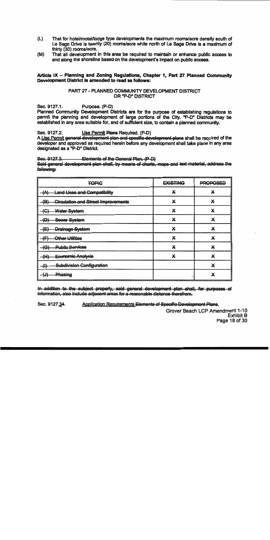- $(L)$ That for hotel/motel/lodge type developments the maximum rooms/acre density south of Le Sage Drive is twenty (20) rooms/acre while north of Le Sage Drive is a maximum of thirty (30) rooms/acre.
- That all development in this area be required to maintain or enhance public access to  $(M)$ and along the shoreline based on the development's impact on public access.

### Article IX - Planning and Zoning Regulations, Chapter 1, Part 27 Planned Community Development District is amended to read as follows:

# PART 27 - PLANNED COMMUNITY DEVELOPMENT DISTRICT OR "P-D" DISTRICT

Sec. 9127.1. Purpose. (P-D)

Planned Community Development Districts are for the purpose of establishing regulations to permit the planning and development of large portions of the City. "P-D" Districts may be established in any area suitable for, and of sufficient size, to contain a planned community.

#### Sec. 9127.2. Use Permit Plans Required. (P-D)

A Use Permit general development plan and specific development plans shall be required of the developer and approved as required herein before any development shall take place in any area designated as a "P-D" District.

#### Sec. 9127.3. Elements of the General Plan. (P-D)

Said general development plan shall, by means of charts, maps and text material, address the following:

| <b>TOPIC</b>                                      | <b>EXISTING</b> | <b>PROPOSED</b> |
|---------------------------------------------------|-----------------|-----------------|
| ₩<br><b>Land Uses and Compatibility</b>           | x               | x               |
| <b>Circulation and Street Improvements</b><br>(B) | X               | X               |
| Water System                                      | x               | X               |
| Sewer System<br>$\mathbf{D}$<br>τP,               | x               | X               |
| <b>Drainage System</b><br>(E)                     | X               | X               |
| Other Utilities<br>Æ<br>₩                         | X               | X               |
| <b>Public Services</b><br><b>fe</b>               | X               | X               |
| <del>(H)</del><br>Economic Analysis               |                 | X               |
| Subdivision Configuration<br>$\mathbf{u}$<br>w    |                 | X               |
| Phasing<br>ŢU,                                    |                 | X               |

In addition to the subject property, said general development plan shall, for purposes of information, also include adjacent areas for a reasonable distance therefrom.

Sec. 9127.34. Application Requirements Elements of Specific Development Plans.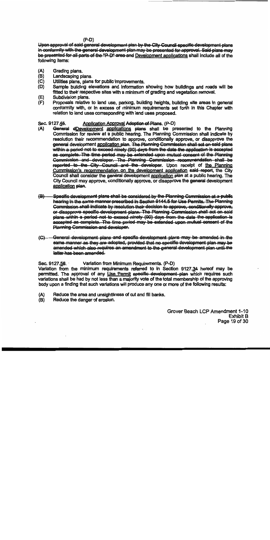$(P-D)$ 

Upon approval of said general development plan by the City Council specific development plans in conformity with the general development plan may be presented for approval. Said plans may be presented for all parts of the "P-D" area and Development applications shall include all of the following items:

- $(A)$ Grading plans.
- $(B)$ Landscaping plans.
- $(C)$ Utilities plans, plans for public improvements.
- Sample building elevations and information showing how buildings and roads will be (D) fitted to their respective sites with a minimum of grading and vegetation removal.
- Subdivision plans.  $(E)$
- $(F)$ Proposals relative to land use, parking, building heights, building site areas in general conformity with, or in excess of minimum requirements set forth in this Chapter with relation to land uses corresponding with land uses proposed.

#### Sec. 9127.45. Application Approval Adoption of Plans. (P-D)

- $(A)$ General dDevelopment applications plans shall be presented to the Planning Commission for review at a public hearing. The Planning Commission shall indicate by resolution their recommendation to approve, conditionally approve, or disapprove the general development application plan. The Planning Commission shall act on said plans within a period not to exceed ninety (90) days from the date the application is accepted as complete. The time period may be extended upon mutual consent of the Planning Commission and devoloper. The Planning Commission recommendation shall be reported to the City Council and the developer. Upon receipt of the Planning Commission's recommendation on the development application said report, the City Council shall consider the general development application plan at a public hearing. The City Council may approve, conditionally approve, or disapprove the general development application plan.
- $\left( B \right) -$ Specific development plans shall be considered by the Planning Commission at a public hearing in the same manner prescribed in Section 9144.5 for Use Permits. The Planning Commission shall indicate by resolution their decision to approve, conditionally approve, or disapprove specific development plans. The Planning Commission shall act on said plans within a period not to exceed ninety (90) days from the date the application is accepted as complete. The time period may be extended upon mutual consent of the Planning Commission and developer.
- General development plans and specific development plans may be amended in the  $\left(\mathbf{G}\right)$ same manner as they are adopted, provided that no specific development plan may be amended which also requires an amendment to the general development plan until the latter has been amended.

#### Sec. 9127.56. Variation from Minimum Requirements. (P-D)

Variation from the minimum requirements referred to in Section 9127.34 hereof may be permitted. The approval of any Use Permit specific development plan which requires such variations shall be had by not less than a majority vote of the total membership of the approving body upon a finding that such variations will produce any one or more of the following results:

- (A) Reduce the area and unsightliness of cut and fill banks.
- (B) Reduce the danger of erosion.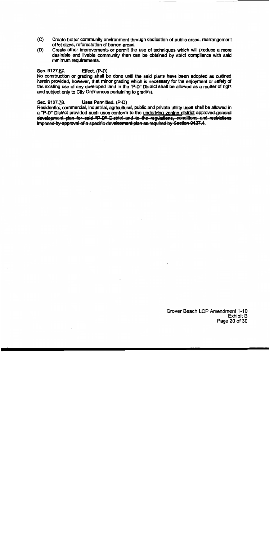- $(C)$ Create better community environment through dedication of public areas, rearrangement of lot sizes, reforestation of barren areas.
- Create other improvements or permit the use of techniques which will produce a more  $(D)$ desirable and livable community than can be obtained by strict compliance with said minimum requirements.

#### Sec. 9127.67. Effect. (P-D)

No construction or grading shall be done until the said plans have been adopted as outlined herein provided, however, that minor grading which is necessary for the enjoyment or safety of the existing use of any developed land in the "P-D" District shall be allowed as a matter of right and subject only to City Ordinances pertaining to grading.

#### Sec. 9127.78. Uses Permitted. (P-D)

Residential. commercial. Industrial. agricultural, public and private utility uses shall be allowed in a "P-D" District provided such uses conform to the underlying zoning district approved general development plan for said "P-D" District and to the regulations, conditions and restrictions imposed by approval of a specific development plan as required by Section 9127.4.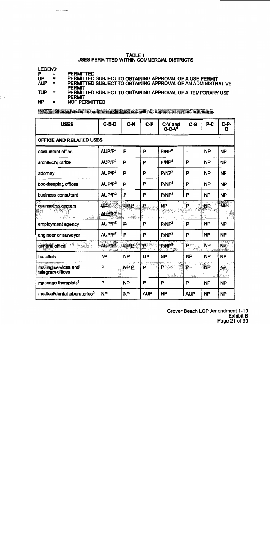### **TABLE 1** USES PERMITTED WITHIN COMMERCIAL DISTRICTS

**LEGEND** 

P **PERMITTED**  $\equiv$ 

**UP** PERMITTED SUBJECT TO OBTAINING APPROVAL OF A USE PERMIT  $\equiv$ 

**AUP** PERMITTED SUBJECT TO OBTAINING APPROVAL OF AN ADMINISTRATIVE  $\equiv$ **PERMIT** 

PERMITTED SUBJECT TO OBTAINING APPROVAL OF A TEMPORARY USE **TUP**  $\equiv$ **PERMIT** 

**NP NOT PERMITTED**  $\equiv$ 

\*NOTE: Shaded areas indicate amended text and will not appear in the final ordinance.

| <b>USES</b>                              | $C-B-D$                                    | C-N             | $C-P$                     | <b>C-V</b> and<br>$C-C-V1$ | $c - s$                        | $P-C$     | $C-P-$<br>C |
|------------------------------------------|--------------------------------------------|-----------------|---------------------------|----------------------------|--------------------------------|-----------|-------------|
| OFFICE AND RELATED USES                  |                                            |                 |                           |                            |                                |           |             |
| accountant office                        | AUP/P <sup>2</sup>                         | P               | P                         | P/NP <sup>3</sup>          | $\ddot{ }$                     | <b>NP</b> | <b>NP</b>   |
| architect's office                       | AUP/P <sup>2</sup>                         | P               | P                         | P/NP <sup>3</sup>          | P                              | <b>NP</b> | <b>NP</b>   |
| attorney                                 | AUP/P <sup>2</sup>                         | P               | P                         | P/NP <sup>3</sup>          | P                              | <b>NP</b> | <b>NP</b>   |
| bookkeeping offices                      | AUP/P <sup>2</sup>                         | P               | P                         | P/NP <sup>3</sup>          | P                              | <b>NP</b> | <b>NP</b>   |
| business consultant                      | AUP/P <sup>2</sup>                         | P               | P                         | P/NP <sup>3</sup>          | P                              | <b>NP</b> | <b>NP</b>   |
| counseling centers<br>$\sim$ $\sim$      | <b>UP</b><br>AUP <sub>IP<sup>2</sup></sub> | <b>UPP</b>      | R<br>ng)<br>No            | <b>NP</b>                  | þ                              | <b>NP</b> | <b>NP</b>   |
| employment agency                        | AUP/P <sup>2</sup>                         | ₽               | P                         | P/NP <sup>3</sup>          | P                              | <b>NP</b> | <b>NP</b>   |
| engineer or surveyor                     | AUP/P <sup>2</sup>                         | P               | P                         | P/NP <sup>3</sup>          | P                              | <b>NP</b> | <b>NP</b>   |
| general office<br>83 SIMBA               | <b>AUPA</b>                                | <b>UPP</b>      | $\mathbf{P}^{\text{min}}$ | P/NP <sup>3</sup>          | P<br><b>LETTE</b>              | <b>NP</b> | NP.         |
| hospitals                                | <b>NP</b>                                  | <b>NP</b>       | <b>UP</b>                 | <b>NP</b>                  | <b>NP</b>                      | <b>NP</b> | <b>NP</b>   |
| mailing services and<br>telegram offices | P                                          | AP <sub>E</sub> | P                         | P÷                         | $\dot{\mathsf{P}}$ .<br>35.833 | <b>NP</b> | NP.         |
| massage therapists <sup>4</sup>          | P                                          | <b>NP</b>       | P                         | P                          | P                              | <b>NP</b> | <b>NP</b>   |
| medical/dental laboratories <sup>8</sup> | <b>NP</b>                                  | <b>NP</b>       | <b>AUP</b>                | NΡ                         | <b>AUP</b>                     | <b>NP</b> | <b>NP</b>   |

Grover Beach LCP Amendment 1-10 **Exhibit B** Page 21 of 30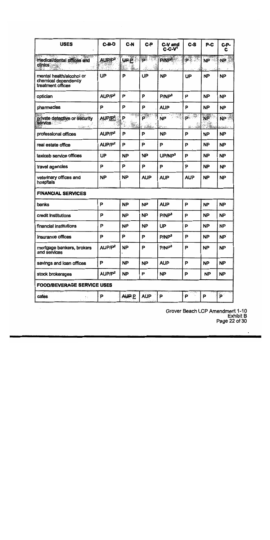| <b>USES</b>                                                                                                               | $C-B-D$                         | $C-N$        | $C-P$          | C-V and<br>$C-C-V1$ | $c - s$                                             | $P-C$                      | $C-P-$<br>C                        |
|---------------------------------------------------------------------------------------------------------------------------|---------------------------------|--------------|----------------|---------------------|-----------------------------------------------------|----------------------------|------------------------------------|
| <u> Papel night</u><br>medical/dental offices and<br>clinics                                                              | AUP/P <sup>2</sup>              | யுட்         | $\blacksquare$ | <b>PAP®</b>         | $P^{\text{max}}$                                    | In Sund March<br><b>NP</b> | NP.                                |
| mental health/alcohol or<br>chemical dependency<br>treatment offices                                                      | UP                              | P            | UP             | <b>NP</b>           | UP                                                  | <b>NP</b>                  | <b>NP</b>                          |
| optician                                                                                                                  | AUP/P <sup>2</sup>              | P            | P              | P/NP <sup>3</sup>   | P                                                   | <b>NP</b>                  | <b>NP</b>                          |
| pharmacies                                                                                                                | P                               | P            | P              | <b>AUP</b>          | P                                                   | <b>NP</b>                  | <b>NP</b>                          |
| private detective or security<br>service<br>$\frac{1}{2} \int \frac{d^2y}{(1-y^2)^2} \, dy \, dy \, dx \, dx \, dx \, dx$ | AUP <sub>I</sub> P <sup>2</sup> | P<br>ī.      | P              | <b>NP</b><br>经合动    | $\overline{\mathbf{P}}$<br>$\mathbb{R}^n$ . For $k$ | <b>NP</b>                  | NP <sup>3</sup><br>أبادها للملازمة |
| professional offices                                                                                                      | AUP/P <sup>2</sup>              | P            | P              | ΝP                  | P                                                   | <b>NP</b>                  | <b>NP</b>                          |
| real estate office                                                                                                        | AUP/P <sup>2</sup>              | P            | P              | P                   | P                                                   | <b>NP</b>                  | <b>NP</b>                          |
| taxicab service offices                                                                                                   | UP                              | <b>NP</b>    | <b>NP</b>      | UP/NP <sup>3</sup>  | P                                                   | <b>NP</b>                  | <b>NP</b>                          |
| travel agencies                                                                                                           | P                               | P            | P              | P                   | P                                                   | <b>NP</b>                  | <b>NP</b>                          |
| veterinary offices and<br>hospitals                                                                                       | <b>NP</b>                       | <b>NP</b>    | <b>AUP</b>     | <b>AUP</b>          | <b>AUP</b>                                          | <b>NP</b>                  | <b>NP</b>                          |
| <b>FINANCIAL SERVICES</b>                                                                                                 |                                 |              |                |                     |                                                     |                            |                                    |
| banks                                                                                                                     | P                               | <b>NP</b>    | <b>NP</b>      | <b>AUP</b>          | P                                                   | <b>NP</b>                  | <b>NP</b>                          |
| credit Institutions                                                                                                       | P                               | <b>NP</b>    | <b>NP</b>      | P/NP <sup>3</sup>   | P                                                   | <b>NP</b>                  | <b>NP</b>                          |
| financial institutions                                                                                                    | P                               | <b>NP</b>    | <b>NP</b>      | <b>UP</b>           | P                                                   | <b>NP</b>                  | <b>NP</b>                          |
| insurance offices                                                                                                         | ۲                               | ۲.           | Р              | P/NP <sup>3</sup>   | Р                                                   | NP.                        | <b>NP</b>                          |
| mortgage bankers, brokers<br>and services                                                                                 | AUP/P <sup>2</sup>              | <b>NP</b>    | P              | P/NP <sup>3</sup>   | P                                                   | <b>NP</b>                  | <b>NP</b>                          |
| savings and loan offices                                                                                                  | P                               | <b>NP</b>    | <b>NP</b>      | <b>AUP</b>          | P                                                   | <b>NP</b>                  | <b>NP</b>                          |
| stock brokerages                                                                                                          | AUP/P <sup>2</sup>              | <b>NP</b>    | P              | <b>NP</b>           | P                                                   | <b>NP</b>                  | <b>NP</b>                          |
| <b>FOOD/BEVERAGE SERVICE USES</b>                                                                                         |                                 |              |                |                     |                                                     |                            |                                    |
| cafes<br>Σċ.<br>to kin                                                                                                    | P                               | <b>AUP P</b> | <b>AUP</b>     | P                   | ₽≟                                                  | P                          | $\mathbf{P}$                       |

Grover Beach LCP Amendment 1-10<br>Exhibit B<br>Page 22 of 30

 $\ddot{\phantom{a}}$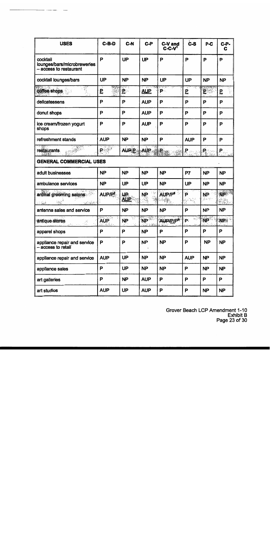| <b>USES</b>                                                      | $C-B-D$                                                | C-N              | $C-P$      | C-V and<br>$C-C-Vt$  | <b>C-S</b>                                   | P-C                             | $C-P$<br>C |
|------------------------------------------------------------------|--------------------------------------------------------|------------------|------------|----------------------|----------------------------------------------|---------------------------------|------------|
| cocktail<br>lounges/bars/microbrewenes<br>- access to restaurant | P                                                      | UP               | <b>UP</b>  | P                    | P                                            | P                               | P          |
| cocktail lounges/bars                                            | UP                                                     | <b>NP</b>        | <b>NP</b>  | UP                   | UP                                           | <b>NP</b>                       | <b>NP</b>  |
| coffee shops                                                     | ₽.                                                     | ager o<br>ይ      | <b>AUP</b> | 27 F.<br>P.          | 5                                            | E                               | ₽          |
| delicatessens                                                    | P                                                      | P                | <b>AUP</b> | P                    | P                                            | P                               | P          |
| donut shops                                                      | P                                                      | P                | <b>AUP</b> | P                    | P                                            | Р                               | P          |
| ice cream/frozen yogurt<br>shops                                 | P                                                      | P                | <b>AUP</b> | P                    | P                                            | P                               | P          |
| refreshment stands                                               | <b>AUP</b>                                             | <b>NP</b>        | <b>NP</b>  | Р                    | <b>AUP</b>                                   | P                               | P          |
| restaurants<br>$\frac{1}{2}$                                     | P                                                      | <b>AUPP</b>      | AUP.       | $\mathbf{R}$ .       | Р.                                           | $\mathbf{P}_{\hat{\mathbf{x}}}$ | P.         |
| <b>GENERAL COMMERCIAL USES</b>                                   |                                                        |                  |            |                      |                                              |                                 |            |
| adult businesses                                                 | <b>NP</b>                                              | <b>NP</b>        | <b>NP</b>  | <b>NP</b>            | P7                                           | <b>NP</b>                       | <b>NP</b>  |
| ambulance services                                               | <b>NP</b>                                              | <b>UP</b>        | UP         | <b>NP</b>            | UP                                           | <b>NP</b>                       | <b>NP</b>  |
| animal grooming salons<br>$\sim 10$<br>$\sim 100$<br>$\sim 100$  | AUP/P <sup>2</sup>                                     | Æ.<br><b>AUP</b> | <b>NP</b>  | AUP/P <sup>8</sup>   | P<br>$\mathbf{x}_{\mathcal{F}_{\mathbf{y}}}$ | <b>NP</b><br>法人党                | <b>NP</b>  |
| antenna sales and service                                        | P                                                      | <b>NP</b>        | <b>NP</b>  | <b>NP</b>            | P                                            | <b>NP</b>                       | <b>NP</b>  |
| antique stores<br>-3                                             | $\mathcal{M} \subset \mathcal{M}$<br><b>AUP</b><br>風気の | <b>NP</b>        | <b>NP</b>  | AUP/P/P <sup>8</sup> | ÝK.<br>P.                                    | <b>NP</b>                       | NB         |
| apparel shops                                                    | P                                                      | P                | <b>NP</b>  | P                    | P                                            | P                               | P          |
| appliance repair and service<br>- access to retail               | P                                                      | P                | <b>NP</b>  | <b>NP</b>            | P                                            | <b>NP</b>                       | <b>NP</b>  |
| appliance repair and service                                     | <b>AUP</b>                                             | <b>UP</b>        | <b>NP</b>  | <b>NP</b>            | <b>AUP</b>                                   | <b>NP</b>                       | <b>NP</b>  |
| appliance sales                                                  | P                                                      | <b>UP</b>        | NP         | <b>NP</b>            | P                                            | <b>NP</b>                       | <b>NP</b>  |
| art galleries                                                    | P                                                      | <b>NP</b>        | <b>AUP</b> | P                    | P                                            | P                               | P          |
| art studios                                                      | <b>AUP</b>                                             | <b>UP</b>        | <b>AUP</b> | P                    | P                                            | <b>NP</b>                       | <b>NP</b>  |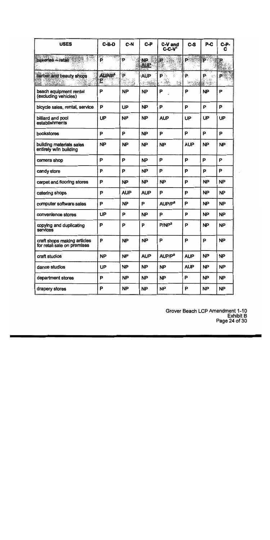| <b>USES</b>                                                | $C-B-D$                                                                                                                                                                                                                                                                                                                                             | $C-N$      | $C-P$                   | C-V and<br>$C-C-V1$                       | $c - s$              | $P-C$     | C-P-<br>C |
|------------------------------------------------------------|-----------------------------------------------------------------------------------------------------------------------------------------------------------------------------------------------------------------------------------------------------------------------------------------------------------------------------------------------------|------------|-------------------------|-------------------------------------------|----------------------|-----------|-----------|
| bakeries - retail                                          | $\frac{1}{\sum_{i=1}^{n} \sum_{j=1}^{n} \sum_{j=1}^{n} \sum_{j=1}^{n} \sum_{j=1}^{n} \sum_{j=1}^{n} \sum_{j=1}^{n} \sum_{j=1}^{n} \sum_{j=1}^{n} \sum_{j=1}^{n} \sum_{j=1}^{n} \sum_{j=1}^{n} \sum_{j=1}^{n} \sum_{j=1}^{n} \sum_{j=1}^{n} \sum_{j=1}^{n} \sum_{j=1}^{n} \sum_{j=1}^{n} \sum_{j=1}^{n} \sum_{j=1}^{n} \sum_{j=1}^{n} \sum_{j=$<br>P | P          | <b>NP</b><br><b>AUP</b> | R                                         | D»                   | p         |           |
| barber and beauty shops                                    | AUP/P <sup>3</sup><br>P                                                                                                                                                                                                                                                                                                                             | P          | AUP                     | $\mathbf{P}$<br>ď<br>Ч.<br>$\mathbb{R}^3$ | P.<br>$\sim 10^{11}$ | P         | P.        |
| beach equipment rental<br>(excluding vehicles)             | P                                                                                                                                                                                                                                                                                                                                                   | <b>NP</b>  | <b>NP</b>               | P                                         | P                    | <b>NP</b> | P         |
| bicycle sales, rental, service                             | P                                                                                                                                                                                                                                                                                                                                                   | <b>UP</b>  | <b>NP</b>               | P                                         | P                    | P         | P         |
| billiard and pool<br>establishments                        | <b>UP</b>                                                                                                                                                                                                                                                                                                                                           | <b>NP</b>  | <b>NP</b>               | <b>AUP</b>                                | <b>UP</b>            | <b>UP</b> | UP        |
| bookstores                                                 | P                                                                                                                                                                                                                                                                                                                                                   | P          | <b>NP</b>               | P                                         | P                    | P         | P         |
| building materials sales<br>entirely w/in building         | <b>NP</b>                                                                                                                                                                                                                                                                                                                                           | <b>NP</b>  | <b>NP</b>               | <b>NP</b>                                 | <b>AUP</b>           | <b>NP</b> | <b>NP</b> |
| camera shop                                                | P                                                                                                                                                                                                                                                                                                                                                   | P          | <b>NP</b>               | P                                         | P                    | P         | P         |
| candy store                                                | P                                                                                                                                                                                                                                                                                                                                                   | P          | <b>NP</b>               | P                                         | P                    | P         | P         |
| carpet and flooring stores                                 | P                                                                                                                                                                                                                                                                                                                                                   | <b>NP</b>  | <b>NP</b>               | <b>NP</b>                                 | P                    | <b>NP</b> | <b>NP</b> |
| catering shops                                             | Ρ                                                                                                                                                                                                                                                                                                                                                   | <b>AUP</b> | <b>AUP</b>              | P                                         | P                    | <b>NP</b> | <b>NP</b> |
| computer software sales                                    | P                                                                                                                                                                                                                                                                                                                                                   | <b>NP</b>  | P                       | AUP/P <sup>8</sup>                        | Р                    | <b>NP</b> | <b>NP</b> |
| convenience stores                                         | UP                                                                                                                                                                                                                                                                                                                                                  | P          | <b>NP</b>               | P                                         | P                    | <b>NP</b> | <b>NP</b> |
| copying and duplicating<br>services                        | P                                                                                                                                                                                                                                                                                                                                                   | P          | P                       | P/NP <sup>3</sup>                         | P                    | <b>NP</b> | <b>NP</b> |
| craft shops making articles<br>for retail sale on premises | P                                                                                                                                                                                                                                                                                                                                                   | <b>NP</b>  | <b>NP</b>               | P                                         | P                    | P         | <b>NP</b> |
| craft studios                                              | <b>NP</b>                                                                                                                                                                                                                                                                                                                                           | <b>NP</b>  | <b>AUP</b>              | AUP/P <sup>8</sup>                        | <b>AUP</b>           | <b>NP</b> | <b>NP</b> |
| dance studios                                              | UP                                                                                                                                                                                                                                                                                                                                                  | <b>NP</b>  | <b>NP</b>               | <b>NP</b>                                 | <b>AUP</b>           | <b>NP</b> | <b>NP</b> |
| department stores                                          | P                                                                                                                                                                                                                                                                                                                                                   | <b>NP</b>  | <b>NP</b>               | <b>NP</b>                                 | P                    | <b>NP</b> | <b>NP</b> |
| drapery stores                                             | Ρ                                                                                                                                                                                                                                                                                                                                                   | <b>NP</b>  | <b>NP</b>               | <b>NP</b>                                 | P                    | NP        | <b>NP</b> |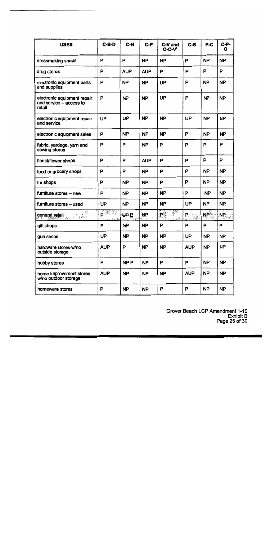| <b>USES</b>                                                      | $C-B-D$                                   | $C-N$           | C-P        | C-V and<br>$C-C-V1$ | $c - s$          | P-C       | $C-P-$<br>C |
|------------------------------------------------------------------|-------------------------------------------|-----------------|------------|---------------------|------------------|-----------|-------------|
| dressmaking shops                                                | P                                         | P               | <b>NP</b>  | <b>NP</b>           | P                | <b>NP</b> | <b>NP</b>   |
| drug stores                                                      | P                                         | <b>AUP</b>      | <b>AUP</b> | P                   | P                | P         | P           |
| electronic equipment parts<br>and supplies                       | P                                         | <b>NP</b>       | <b>NP</b>  | UP                  | P                | <b>NP</b> | <b>NP</b>   |
| electronic equipment repair<br>and service - access to<br>retail | P                                         | <b>NP</b>       | <b>NP</b>  | UP                  | P                | <b>NP</b> | <b>NP</b>   |
| electronic equipment repair<br>and service                       | UP                                        | UP              | <b>NP</b>  | <b>NP</b>           | UP               | <b>NP</b> | <b>NP</b>   |
| electronic equipment sales                                       | P                                         | <b>NP</b>       | ŃP         | <b>NP</b>           | P                | <b>NP</b> | <b>NP</b>   |
| fabric, yardage, yarn and<br>sewing stores                       | P                                         | P               | <b>NP</b>  | P                   | P                | P         | P           |
| florist/flower shops                                             | P                                         | P               | <b>AUP</b> | P                   | P                | P         | P           |
| food or grocery shops                                            | P                                         | P               | <b>NP</b>  | P                   | P                | <b>NP</b> | <b>NP</b>   |
| fur shops                                                        | P                                         | <b>NP</b>       | <b>NP</b>  | P                   | P                | <b>NP</b> | <b>NP</b>   |
| furniture stores - new                                           | P                                         | <b>NP</b>       | <b>NP</b>  | <b>NP</b>           | P                | <b>NP</b> | <b>NP</b>   |
| furniture stores - used                                          | UP                                        | <b>NP</b>       | <b>NP</b>  | <b>NP</b>           | UP               | <b>NP</b> | NP.         |
| <b>general retail</b>                                            | ∛e∢j<br>P.<br>$\sim$ $\sim$ $\sim$ $\sim$ | များ            | <b>NP</b>  | $P^{\mathbb{R}}$    | $P_{\text{max}}$ | <b>NP</b> | NP          |
| gift shops                                                       | P                                         | <b>NP</b>       | <b>NP</b>  | P                   | P                | P         | P           |
| gun shops                                                        | UP                                        | <b>NP</b>       | <b>NP</b>  | <b>NP</b>           | UP               | <b>NP</b> | <b>NP</b>   |
| hardware stores w/no<br>outside storage                          | <b>AUP</b>                                | P               | <b>NP</b>  | <b>NP</b>           | <b>AUP</b>       | <b>NP</b> | <b>NP</b>   |
| hobby stores                                                     | P                                         | NP <sub>P</sub> | <b>NP</b>  | P                   | P                | <b>NP</b> | <b>NP</b>   |
| home improvement stores<br>w/no outdoor storage                  | <b>AUP</b>                                | NP              | <b>NP</b>  | <b>NP</b>           | <b>AUP</b>       | <b>NP</b> | <b>NP</b>   |
| homeware stores                                                  | P                                         | <b>NP</b>       | <b>NP</b>  | P                   | P                | <b>NP</b> | <b>NP</b>   |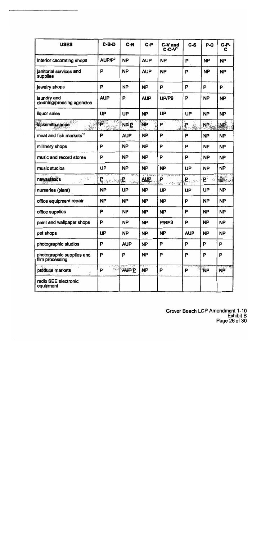| <b>USES</b>                                                                                                      | $C-B-D$            | $C-N$       | $C-P$      | C-V and<br>$C-C-Nd$   | $C-S$        | P-C                | C-P-<br>C |
|------------------------------------------------------------------------------------------------------------------|--------------------|-------------|------------|-----------------------|--------------|--------------------|-----------|
| interior decorating shops                                                                                        | AUP/P <sup>2</sup> | <b>NP</b>   | <b>AUP</b> | <b>NP</b>             | P            | <b>NP</b>          | <b>NP</b> |
| janitorial services and<br>supplies                                                                              | P                  | <b>NP</b>   | <b>AUP</b> | <b>NP</b>             | P            | <b>NP</b>          | <b>NP</b> |
| jewelry shops                                                                                                    | P                  | <b>NP</b>   | <b>NP</b>  | P                     | P            | P                  | P         |
| laundry and<br>cleaning/pressing agencies                                                                        | <b>AUP</b>         | P           | <b>AUP</b> | UP/P9                 | P            | <b>NP</b>          | <b>NP</b> |
| liquor sales                                                                                                     | <b>UP</b>          | <b>UP</b>   | <b>NP</b>  | UP                    | <b>UP</b>    | <b>NP</b>          | <b>NP</b> |
| locksmith shops                                                                                                  | P                  | <b>NP E</b> | <b>NP</b>  | P                     | $\mathbf{P}$ | NP.                | NP.       |
| meat and fish markets <sup>10</sup>                                                                              | P                  | <b>AUP</b>  | <b>NP</b>  | P                     | P            | <b>NP</b>          | <b>NP</b> |
| millinery shops                                                                                                  | P                  | <b>NP</b>   | <b>NP</b>  | P                     | P            | <b>NP</b>          | <b>NP</b> |
| music and record stores                                                                                          | P                  | <b>NP</b>   | <b>NP</b>  | P                     | P            | <b>NP</b>          | <b>NP</b> |
| music studios                                                                                                    | <b>UP</b>          | <b>NP</b>   | <b>NP</b>  | NP                    | UP           | <b>NP</b>          | <b>NP</b> |
| newsstands<br>$\frac{1}{\sqrt{\frac{1}{2}}}\left[\frac{1}{\sqrt{2}}\frac{\partial^2\phi}{\partial x^2}\right]^2$ | £਼∞ਂਬ              | <u>lie</u>  | <b>AUP</b> | P<br>وي <u>الي ال</u> | <b>ုး</b>    | $\mathbf{E}$<br>۶. | 日後        |
| nursenes (plant)                                                                                                 | <b>NP</b>          | <b>UP</b>   | <b>NP</b>  | UP                    | <b>UP</b>    | UP                 | <b>NP</b> |
| office equipment repair                                                                                          | <b>NP</b>          | <b>NP</b>   | <b>NP</b>  | <b>NP</b>             | P            | <b>NP</b>          | <b>NP</b> |
| office supplies                                                                                                  | P                  | <b>NP</b>   | <b>NP</b>  | <b>NP</b>             | P            | <b>NP</b>          | <b>NP</b> |
| paint and wallpaper shops                                                                                        | P                  | <b>NP</b>   | <b>NP</b>  | P/NP3                 | P            | <b>NP</b>          | <b>NP</b> |
| pet shops                                                                                                        | UP                 | <b>NP</b>   | <b>NP</b>  | <b>NP</b>             | <b>AUP</b>   | <b>NP</b>          | <b>NP</b> |
| photographic studios                                                                                             | P                  | <b>AUP</b>  | <b>NP</b>  | P                     | P            | P                  | P         |
| photographic supplies and<br>film processing                                                                     | P                  | P           | <b>NP</b>  | P                     | P            | P                  | P         |
| produce markets<br>ģ,                                                                                            | P                  | AUP P       | NP         | P                     | P.           | <b>NP</b>          | <b>NP</b> |
| radio SEE electronic<br>equipment                                                                                |                    |             |            |                       |              |                    |           |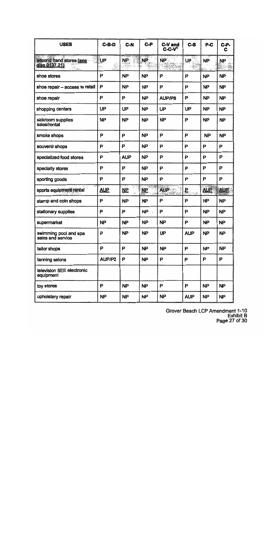| <b>USES</b>                                | $C-B-D$    | C-N                     | $C-P$     | C-V and<br>$C$ -C-V <sup>1</sup> | $c - s$      | $P-C$      | $C-P-$<br>C |
|--------------------------------------------|------------|-------------------------|-----------|----------------------------------|--------------|------------|-------------|
| second hand stores (see<br>also 9137.21)   | UP         | NP.                     | <b>NP</b> | <b>NP</b>                        | UP           | NP.        | <b>NP</b>   |
| shoe stores                                | P          | <b>NP</b>               | <b>NP</b> | Р                                | P            | <b>NP</b>  | <b>NP</b>   |
| shoe repair - access to retail             | P          | <b>NP</b>               | <b>NP</b> | P                                | P            | <b>NP</b>  | <b>NP</b>   |
| shoe repair                                | P          | P                       | <b>NP</b> | AUP/P8                           | P            | <b>NP</b>  | NP          |
| shopping centers                           | UP         | UP                      | <b>NP</b> | UP                               | UP           | <b>NP</b>  | <b>NP</b>   |
| sickroom supplies<br>sales/rental          | <b>NP</b>  | <b>NP</b>               | <b>NP</b> | <b>NP</b>                        | P            | <b>NP</b>  | <b>NP</b>   |
| smoke shops                                | P          | P                       | <b>NP</b> | P                                | P            | <b>NP</b>  | <b>NP</b>   |
| souvenir shops                             | P          | P                       | <b>NP</b> | P                                | P            | P          | P           |
| specialized food stores                    | P          | <b>AUP</b>              | <b>NP</b> | P                                | P            | P          | P           |
| specialty stores                           | P          | P                       | <b>NP</b> | P                                | P            | P          | P           |
| sporting goods                             | P          | P                       | <b>NP</b> | P                                | P            | P          | P           |
| sports equipment rental                    | <u>AUP</u> | ÷.<br>$\mathbf{M}$<br>林 | <b>NP</b> | <b>AUP</b>                       | $\mathbf{F}$ | <b>AUP</b> | AUE         |
| stamp and coin shops                       | P          | <b>NP</b>               | <b>NP</b> | P                                | P            | <b>NP</b>  | <b>NP</b>   |
| stationary supplies                        | P          | P                       | <b>NP</b> | Р                                | P            | <b>NP</b>  | <b>NP</b>   |
| supermarket                                | <b>NP</b>  | <b>NP</b>               | <b>NP</b> | <b>NP</b>                        | P            | <b>NP</b>  | <b>NP</b>   |
| swimming pool and spa<br>sales and service | P          | <b>NP</b>               | <b>NP</b> | UP                               | <b>AUP</b>   | <b>NP</b>  | <b>NP</b>   |
| tailor shops                               | P          | P                       | <b>NP</b> | <b>NP</b>                        | P            | <b>NP</b>  | <b>NP</b>   |
| tanning salons                             | AUP/P2     | P                       | <b>NP</b> | P                                | P            | P          | P           |
| television SEE electronic<br>equipment     |            |                         |           |                                  |              |            |             |
| toy stores                                 | P          | <b>NP</b>               | <b>NP</b> | P                                | P            | <b>NP</b>  | <b>NP</b>   |
| upholstery repair                          | <b>NP</b>  | <b>NP</b>               | <b>NP</b> | <b>NP</b>                        | <b>AUP</b>   | <b>NP</b>  | NP          |

Grover Beach LCP Amendment 1-10<br>Exhibit B<br>Page 27 of 30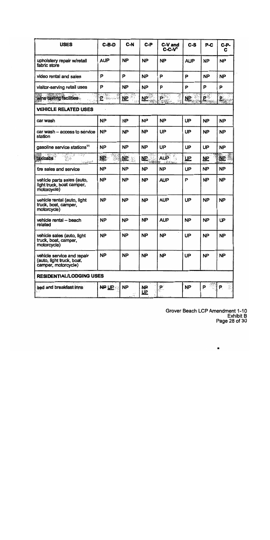| <b>USES</b>                                                                    | $C-B-D$                                       | $C-N$                                | $C-P$                        | C-V and<br>$C-C-V1$                                                                    | $c - s$                | P-C            | $C-P-$<br>C |
|--------------------------------------------------------------------------------|-----------------------------------------------|--------------------------------------|------------------------------|----------------------------------------------------------------------------------------|------------------------|----------------|-------------|
| upholstery repair w/retail<br>fabric store                                     | <b>AUP</b>                                    | <b>NP</b>                            | <b>NP</b>                    | <b>NP</b>                                                                              | <b>AUP</b>             | <b>NP</b>      | <b>NP</b>   |
| video rental and sales                                                         | P                                             | P                                    | <b>NP</b>                    | P                                                                                      | P                      | <b>NP</b>      | <b>NP</b>   |
| visitor-serving retail uses                                                    | P                                             | <b>NP</b>                            | <b>NP</b>                    | P                                                                                      | P                      | P              | P           |
| wine tasting facilities                                                        | $= 3.77$<br>$\mathbf{P}$ . And a $\mathbb{R}$ | $\underline{\mathsf{NP}}$            | <u>NP</u>                    | $\mathsf{P}^{\mathbb{C}}$                                                              | $\overline{\text{ME}}$ | $\mathbf{P}^*$ | e.          |
| <b>VEHICLE RELATED USES</b>                                                    |                                               |                                      |                              |                                                                                        |                        |                |             |
| car wash                                                                       | <b>NP</b>                                     | <b>NP</b>                            | <b>NP</b>                    | <b>NP</b>                                                                              | UP                     | <b>NP</b>      | <b>NP</b>   |
| car wash - access to service<br>station                                        | <b>NP</b>                                     | <b>NP</b>                            | <b>NP</b>                    | UP                                                                                     | UP                     | <b>NP</b>      | <b>NP</b>   |
| gasoline service stations <sup>11</sup>                                        | <b>NP</b>                                     | <b>NP</b>                            | <b>NP</b>                    | UP                                                                                     | UP                     | UP             | <b>NP</b>   |
| i : Gior<br>taxicabs<br><b>Chain State</b>                                     | <u>NP</u>                                     | $\overline{\mathbf{M}}$ $\mathbf{R}$ | <u>NΡ</u><br><b>35条分 get</b> | <b>AUP</b><br>$\mathbf{1}$ , $\mathbf{2}$ , $\mathbf{2}$ , $\mathbf{2}$ , $\mathbf{2}$ | <u>UP</u>              | <b>NP</b>      | <b>NP</b>   |
| tire sales and service                                                         | <b>NP</b>                                     | <b>NP</b>                            | <b>NP</b>                    | <b>NP</b>                                                                              | UP                     | <b>NP</b>      | <b>NP</b>   |
| vehicie parts sales (auto,<br>light truck, boat camper,<br>motorcycle)         | <b>NP</b>                                     | <b>NP</b>                            | <b>NP</b>                    | <b>AUP</b>                                                                             | P                      | <b>NP</b>      | <b>NP</b>   |
| vehicle rental (auto, light<br>truck, boat, camper,<br>motorcycle)             | <b>NP</b>                                     | <b>NP</b>                            | <b>NP</b>                    | <b>AUP</b>                                                                             | UP                     | <b>NP</b>      | <b>NP</b>   |
| vehicle rental -- beach<br>related                                             | <b>NP</b>                                     | <b>NP</b>                            | <b>NP</b>                    | <b>AUP</b>                                                                             | <b>NP</b>              | <b>NP</b>      | UP          |
| vehicie sales (auto, light<br>truck, boat, camper,<br>motorcycle)              | <b>NP</b>                                     | <b>NP</b>                            | <b>NP</b>                    | <b>NP</b>                                                                              | UP                     | <b>NP</b>      | <b>NP</b>   |
| vehicle service and repair<br>(auto, light truck, boat,<br>camper, motorcycle) | <b>NP</b>                                     | <b>NP</b>                            | <b>NP</b>                    | <b>NP</b>                                                                              | UP                     | <b>NP</b>      | <b>NP</b>   |
| <b>RESIDENTIAL/LODGING USES</b>                                                |                                               |                                      |                              |                                                                                        |                        |                |             |
| bed and breakfast inns                                                         | NP UP                                         | <b>NP</b>                            | <b>NP</b><br><u>UP</u>       | $P^{\circ}$                                                                            | NP.                    | P              | :P∴         |

 $\bar{\beta}$ 

Grover Beach LCP Amendment 1-10<br>Exhibit B<br>Page 28 of 30

 $\blacksquare$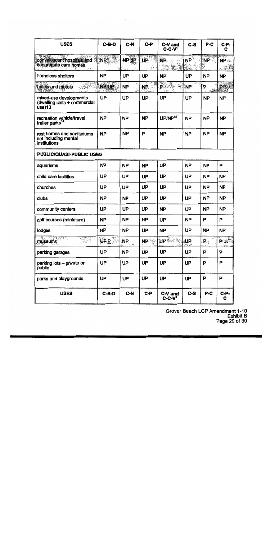Grover Beach LCP Amendment 1-10<br>Exhibit B<br>Page 29 of 30

| <b>USES</b>                                                             | $C-B-D$     | C-N                                  | $C-P$                                                | C-V and<br>$C-C-V1$  | C-S            | $P-C$              | <b>C-P-</b><br>c         |
|-------------------------------------------------------------------------|-------------|--------------------------------------|------------------------------------------------------|----------------------|----------------|--------------------|--------------------------|
| · 20 20 20 20 21<br>convalescent hospitals and<br>congregate care homes | NB          | <b>PART OF PRINT</b><br><b>NP UP</b> | $\sim$ $\approx$ $\sim$ $\sim$<br><b>UP</b><br>2. 93 | 59<br>NP.<br>$-19/3$ | <b>NP</b>      | NP.                | 2.06<br>NP ⊹<br>- 145.73 |
| homeless shelters                                                       | <b>NP</b>   | <b>UP</b>                            | UP                                                   | <b>NP</b>            | UP             | <b>NP</b>          | <b>NP</b>                |
| hotels and motels                                                       | NP UP       | <b>NP</b>                            | NP.                                                  | PS & B               | <b>NP</b>      | P                  | À                        |
| mixed-use developments<br>(dwelling units + commercial<br>use)13        | <b>UP</b>   | <b>UP</b>                            | <b>UP</b>                                            | <b>UP</b>            | UP             | <b>NP</b>          | <b>NP</b>                |
| recreation vehicle/travel<br>trailer parks <sup>14</sup>                | <b>NP</b>   | <b>NP</b>                            | <b>NP</b>                                            | UP/NP <sup>12</sup>  | <b>NP</b>      | <b>NP</b>          | <b>NP</b>                |
| rest homes and sanitariums<br>not including mental<br>institutions      | <b>NP</b>   | <b>NP</b>                            | P                                                    | <b>NP</b>            | <b>NP</b>      | <b>NP</b>          | <b>NP</b>                |
| PUBLIC/QUASI-PUBLIC USES                                                |             |                                      |                                                      |                      |                |                    |                          |
| aquariums                                                               | <b>NP</b>   | <b>NP</b>                            | <b>NP</b>                                            | <b>UP</b>            | <b>NP</b>      | <b>NP</b>          | P                        |
| child care facilities                                                   | UP          | <b>UP</b>                            | <b>UP</b>                                            | UP                   | UP             | <b>NP</b>          | <b>NP</b>                |
| churches                                                                | UP          | <b>UP</b>                            | <b>UP</b>                                            | <b>UP</b>            | <b>UP</b>      | <b>NP</b>          | <b>NP</b>                |
| clubs                                                                   | <b>NP</b>   | <b>NP</b>                            | UP                                                   | <b>UP</b>            | <b>UP</b>      | <b>NP</b>          | <b>NP</b>                |
| community centers                                                       | UP          | <b>UP</b>                            | <b>UP</b>                                            | <b>NP</b>            | UP             | <b>NP</b>          | <b>NP</b>                |
| golf courses (miniature)                                                | <b>NP</b>   | <b>NP</b>                            | <b>NP</b>                                            | UP                   | <b>NP</b>      | P                  | P                        |
| lodges                                                                  | <b>NP</b>   | <b>NP</b>                            | UP                                                   | <b>NP</b>            | UP             | <b>NP</b>          | <b>NP</b>                |
| MAS TANT<br>결화실<br>museums                                              | <b>UP P</b> | NP                                   | <b>NP</b>                                            | NP Section           | $\mathbf{U}$ P | $\mathbf{P}_\odot$ | P. 稀料                    |
| parking garages                                                         | UP          | <b>NP</b>                            | <b>UP</b>                                            | <b>UP</b>            | <b>UP</b>      | P                  | P                        |
| parking lots - private or<br>public                                     | UP          | <b>UP</b>                            | <b>UP</b>                                            | UP                   | <b>UP</b>      | P                  | P                        |
| parks and playgrounds                                                   | UP          | <b>UP</b>                            | <b>UP</b>                                            | UP                   | UP             | P                  | P                        |
| <b>USES</b>                                                             | C-B-D       | $C-N$                                | C-P                                                  | C-V and<br>$C-C-V1$  | $c - s$        | $P-C$              | <b>C-P-</b><br>C         |

 $\sim 10^{11}$  m  $^{-1}$